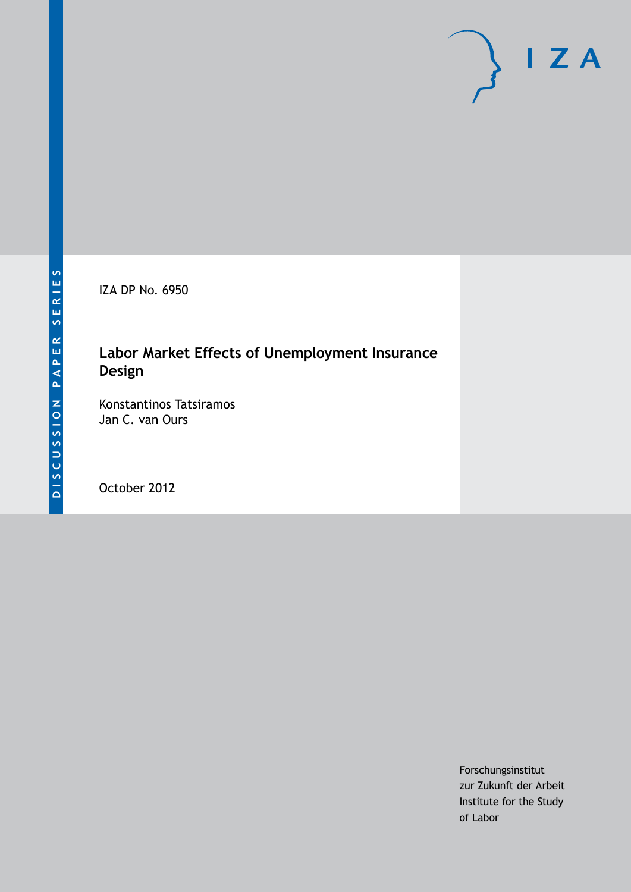IZA DP No. 6950

# **Labor Market Effects of Unemployment Insurance Design**

Konstantinos Tatsiramos Jan C. van Ours

October 2012

Forschungsinstitut zur Zukunft der Arbeit Institute for the Study of Labor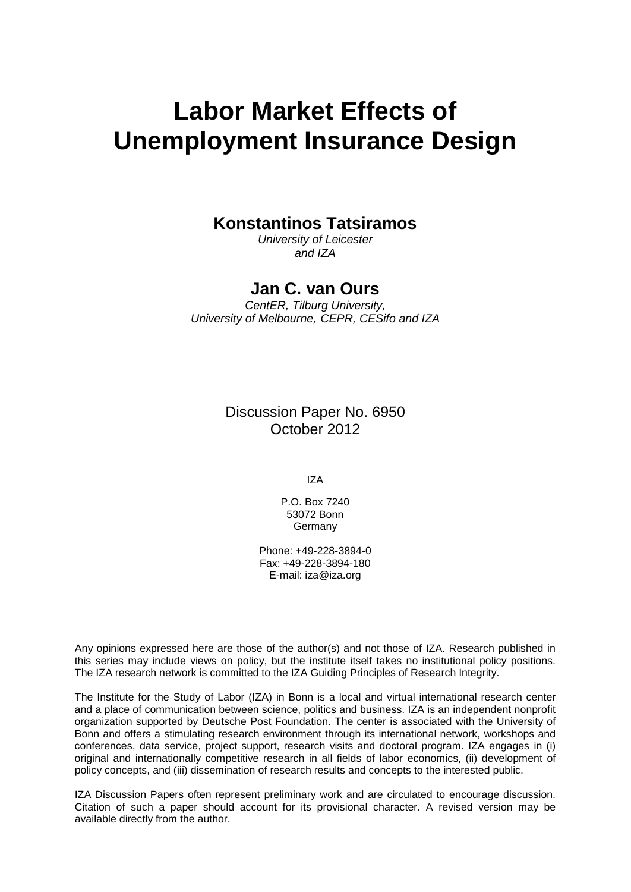# **Labor Market Effects of Unemployment Insurance Design**

# **Konstantinos Tatsiramos**

*University of Leicester and IZA*

# **Jan C. van Ours**

*CentER, Tilburg University, University of Melbourne, CEPR, CESifo and IZA*

> Discussion Paper No. 6950 October 2012

> > IZA

P.O. Box 7240 53072 Bonn **Germany** 

Phone: +49-228-3894-0 Fax: +49-228-3894-180 E-mail: [iza@iza.org](mailto:iza@iza.org)

Any opinions expressed here are those of the author(s) and not those of IZA. Research published in this series may include views on policy, but the institute itself takes no institutional policy positions. The IZA research network is committed to the IZA Guiding Principles of Research Integrity.

The Institute for the Study of Labor (IZA) in Bonn is a local and virtual international research center and a place of communication between science, politics and business. IZA is an independent nonprofit organization supported by Deutsche Post Foundation. The center is associated with the University of Bonn and offers a stimulating research environment through its international network, workshops and conferences, data service, project support, research visits and doctoral program. IZA engages in (i) original and internationally competitive research in all fields of labor economics, (ii) development of policy concepts, and (iii) dissemination of research results and concepts to the interested public.

IZA Discussion Papers often represent preliminary work and are circulated to encourage discussion. Citation of such a paper should account for its provisional character. A revised version may be available directly from the author.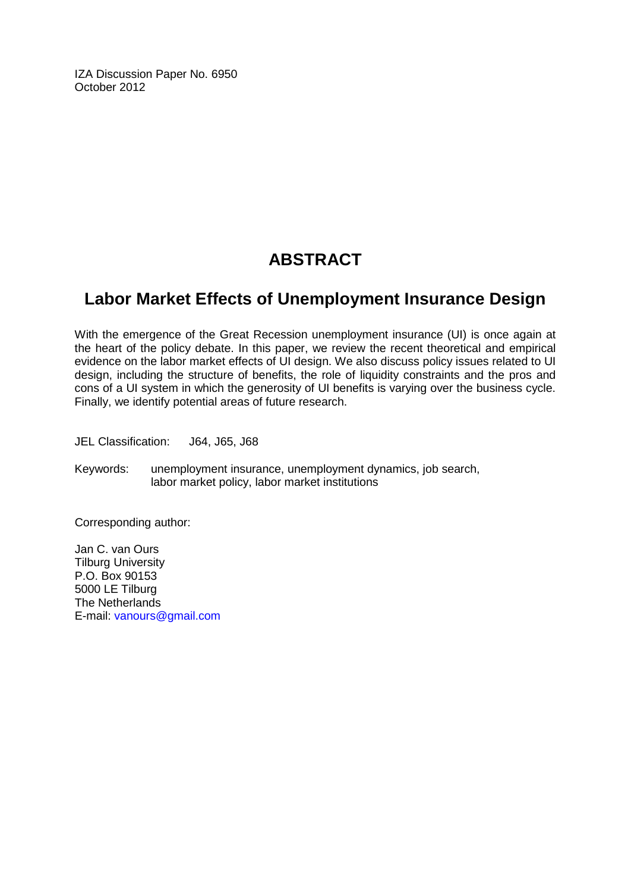IZA Discussion Paper No. 6950 October 2012

# **ABSTRACT**

# **Labor Market Effects of Unemployment Insurance Design**

With the emergence of the Great Recession unemployment insurance (UI) is once again at the heart of the policy debate. In this paper, we review the recent theoretical and empirical evidence on the labor market effects of UI design. We also discuss policy issues related to UI design, including the structure of benefits, the role of liquidity constraints and the pros and cons of a UI system in which the generosity of UI benefits is varying over the business cycle. Finally, we identify potential areas of future research.

JEL Classification: J64, J65, J68

Keywords: unemployment insurance, unemployment dynamics, job search, labor market policy, labor market institutions

Corresponding author:

Jan C. van Ours Tilburg University P.O. Box 90153 5000 LE Tilburg The Netherlands E-mail: [vanours@gmail.com](mailto:vanours@gmail.com)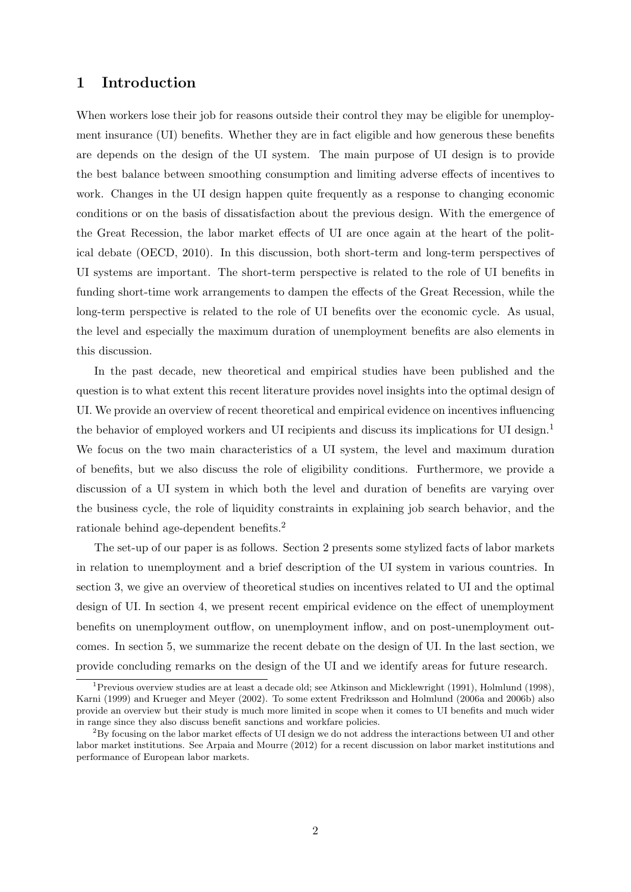# 1 Introduction

When workers lose their job for reasons outside their control they may be eligible for unemployment insurance (UI) benefits. Whether they are in fact eligible and how generous these benefits are depends on the design of the UI system. The main purpose of UI design is to provide the best balance between smoothing consumption and limiting adverse effects of incentives to work. Changes in the UI design happen quite frequently as a response to changing economic conditions or on the basis of dissatisfaction about the previous design. With the emergence of the Great Recession, the labor market effects of UI are once again at the heart of the political debate (OECD, 2010). In this discussion, both short-term and long-term perspectives of UI systems are important. The short-term perspective is related to the role of UI benefits in funding short-time work arrangements to dampen the effects of the Great Recession, while the long-term perspective is related to the role of UI benefits over the economic cycle. As usual, the level and especially the maximum duration of unemployment benefits are also elements in this discussion.

In the past decade, new theoretical and empirical studies have been published and the question is to what extent this recent literature provides novel insights into the optimal design of UI. We provide an overview of recent theoretical and empirical evidence on incentives influencing the behavior of employed workers and UI recipients and discuss its implications for UI design. $<sup>1</sup>$ </sup> We focus on the two main characteristics of a UI system, the level and maximum duration of benefits, but we also discuss the role of eligibility conditions. Furthermore, we provide a discussion of a UI system in which both the level and duration of benefits are varying over the business cycle, the role of liquidity constraints in explaining job search behavior, and the rationale behind age-dependent benefits.<sup>2</sup>

The set-up of our paper is as follows. Section 2 presents some stylized facts of labor markets in relation to unemployment and a brief description of the UI system in various countries. In section 3, we give an overview of theoretical studies on incentives related to UI and the optimal design of UI. In section 4, we present recent empirical evidence on the effect of unemployment benefits on unemployment outflow, on unemployment inflow, and on post-unemployment outcomes. In section 5, we summarize the recent debate on the design of UI. In the last section, we provide concluding remarks on the design of the UI and we identify areas for future research.

<sup>&</sup>lt;sup>1</sup> Previous overview studies are at least a decade old; see Atkinson and Micklewright (1991), Holmlund (1998), Karni (1999) and Krueger and Meyer (2002). To some extent Fredriksson and Holmlund (2006a and 2006b) also provide an overview but their study is much more limited in scope when it comes to UI benefits and much wider in range since they also discuss benefit sanctions and workfare policies.

<sup>2</sup>By focusing on the labor market effects of UI design we do not address the interactions between UI and other labor market institutions. See Arpaia and Mourre (2012) for a recent discussion on labor market institutions and performance of European labor markets.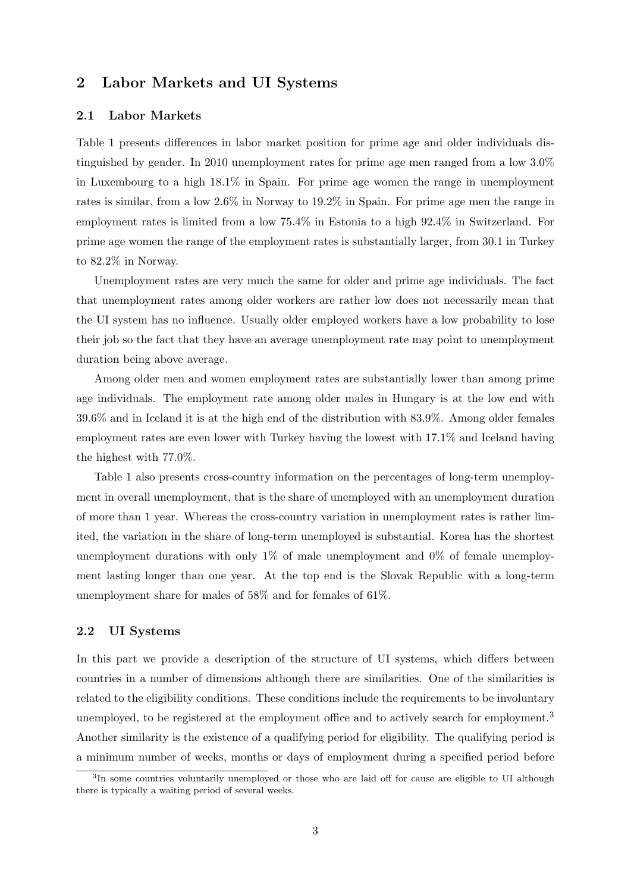# 2 Labor Markets and UI Systems

#### 2.1 Labor Markets

Table 1 presents differences in labor market position for prime age and older individuals distinguished by gender. In 2010 unemployment rates for prime age men ranged from a low 3.0% in Luxembourg to a high 18.1% in Spain. For prime age women the range in unemployment rates is similar, from a low 2.6% in Norway to 19.2% in Spain. For prime age men the range in employment rates is limited from a low 75.4% in Estonia to a high 92.4% in Switzerland. For prime age women the range of the employment rates is substantially larger, from 30.1 in Turkey to 82.2% in Norway.

Unemployment rates are very much the same for older and prime age individuals. The fact that unemployment rates among older workers are rather low does not necessarily mean that the UI system has no influence. Usually older employed workers have a low probability to lose their job so the fact that they have an average unemployment rate may point to unemployment duration being above average.

Among older men and women employment rates are substantially lower than among prime age individuals. The employment rate among older males in Hungary is at the low end with 39.6% and in Iceland it is at the high end of the distribution with 83.9%. Among older females employment rates are even lower with Turkey having the lowest with 17.1% and Iceland having the highest with 77.0%.

Table 1 also presents cross-country information on the percentages of long-term unemployment in overall unemployment, that is the share of unemployed with an unemployment duration of more than 1 year. Whereas the cross-country variation in unemployment rates is rather limited, the variation in the share of long-term unemployed is substantial. Korea has the shortest unemployment durations with only  $1\%$  of male unemployment and  $0\%$  of female unemployment lasting longer than one year. At the top end is the Slovak Republic with a long-term unemployment share for males of 58% and for females of 61%.

### 2.2 UI Systems

In this part we provide a description of the structure of UI systems, which differs between countries in a number of dimensions although there are similarities. One of the similarities is related to the eligibility conditions. These conditions include the requirements to be involuntary unemployed, to be registered at the employment office and to actively search for employment.<sup>3</sup> Another similarity is the existence of a qualifying period for eligibility. The qualifying period is a minimum number of weeks, months or days of employment during a specified period before

<sup>&</sup>lt;sup>3</sup>In some countries voluntarily unemployed or those who are laid off for cause are eligible to UI although there is typically a waiting period of several weeks.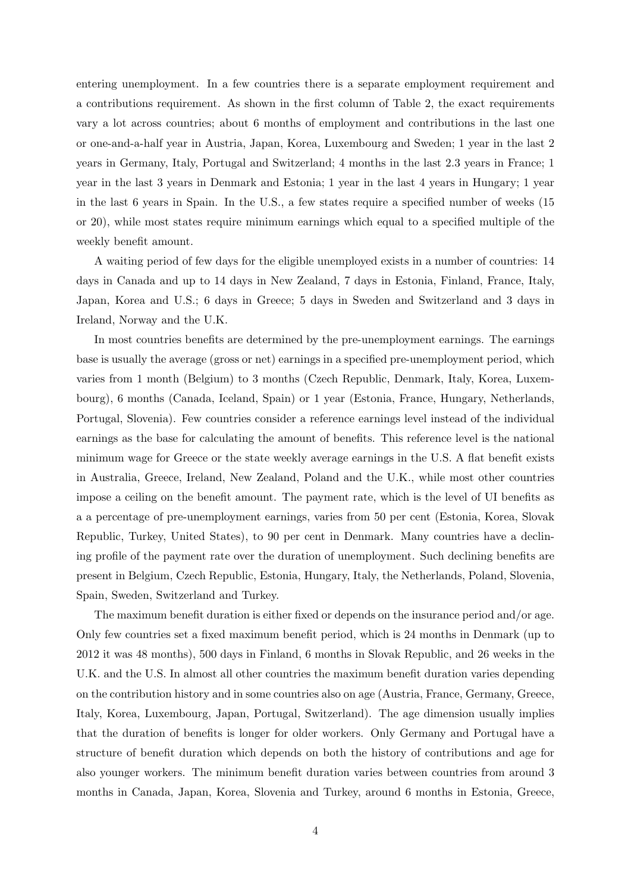entering unemployment. In a few countries there is a separate employment requirement and a contributions requirement. As shown in the first column of Table 2, the exact requirements vary a lot across countries; about 6 months of employment and contributions in the last one or one-and-a-half year in Austria, Japan, Korea, Luxembourg and Sweden; 1 year in the last 2 years in Germany, Italy, Portugal and Switzerland; 4 months in the last 2.3 years in France; 1 year in the last 3 years in Denmark and Estonia; 1 year in the last 4 years in Hungary; 1 year in the last 6 years in Spain. In the U.S., a few states require a specified number of weeks (15 or 20), while most states require minimum earnings which equal to a specified multiple of the weekly benefit amount.

A waiting period of few days for the eligible unemployed exists in a number of countries: 14 days in Canada and up to 14 days in New Zealand, 7 days in Estonia, Finland, France, Italy, Japan, Korea and U.S.; 6 days in Greece; 5 days in Sweden and Switzerland and 3 days in Ireland, Norway and the U.K.

In most countries benefits are determined by the pre-unemployment earnings. The earnings base is usually the average (gross or net) earnings in a specified pre-unemployment period, which varies from 1 month (Belgium) to 3 months (Czech Republic, Denmark, Italy, Korea, Luxembourg), 6 months (Canada, Iceland, Spain) or 1 year (Estonia, France, Hungary, Netherlands, Portugal, Slovenia). Few countries consider a reference earnings level instead of the individual earnings as the base for calculating the amount of benefits. This reference level is the national minimum wage for Greece or the state weekly average earnings in the U.S. A flat benefit exists in Australia, Greece, Ireland, New Zealand, Poland and the U.K., while most other countries impose a ceiling on the benefit amount. The payment rate, which is the level of UI benefits as a a percentage of pre-unemployment earnings, varies from 50 per cent (Estonia, Korea, Slovak Republic, Turkey, United States), to 90 per cent in Denmark. Many countries have a declining profile of the payment rate over the duration of unemployment. Such declining benefits are present in Belgium, Czech Republic, Estonia, Hungary, Italy, the Netherlands, Poland, Slovenia, Spain, Sweden, Switzerland and Turkey.

The maximum benefit duration is either fixed or depends on the insurance period and/or age. Only few countries set a fixed maximum benefit period, which is 24 months in Denmark (up to 2012 it was 48 months), 500 days in Finland, 6 months in Slovak Republic, and 26 weeks in the U.K. and the U.S. In almost all other countries the maximum benefit duration varies depending on the contribution history and in some countries also on age (Austria, France, Germany, Greece, Italy, Korea, Luxembourg, Japan, Portugal, Switzerland). The age dimension usually implies that the duration of benefits is longer for older workers. Only Germany and Portugal have a structure of benefit duration which depends on both the history of contributions and age for also younger workers. The minimum benefit duration varies between countries from around 3 months in Canada, Japan, Korea, Slovenia and Turkey, around 6 months in Estonia, Greece,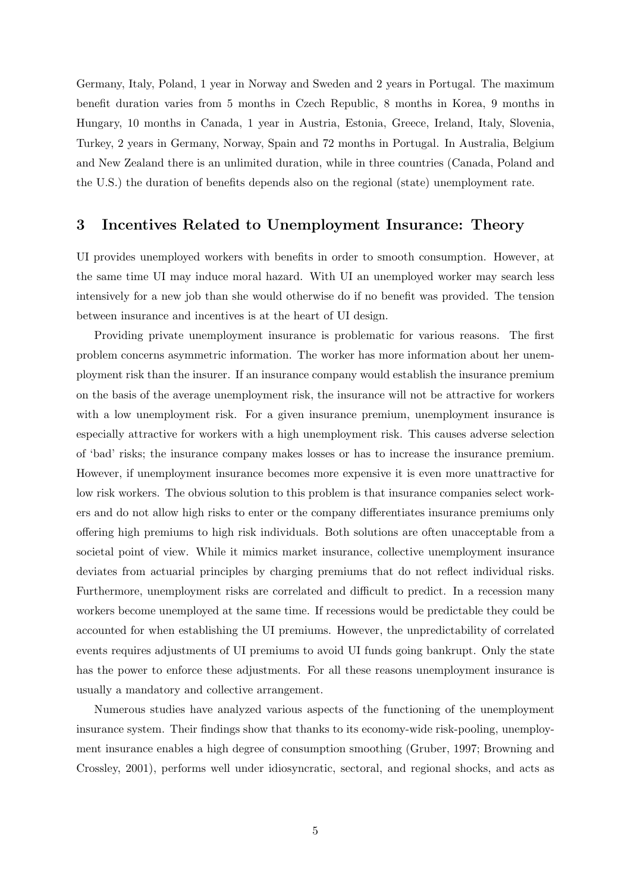Germany, Italy, Poland, 1 year in Norway and Sweden and 2 years in Portugal. The maximum benefit duration varies from 5 months in Czech Republic, 8 months in Korea, 9 months in Hungary, 10 months in Canada, 1 year in Austria, Estonia, Greece, Ireland, Italy, Slovenia, Turkey, 2 years in Germany, Norway, Spain and 72 months in Portugal. In Australia, Belgium and New Zealand there is an unlimited duration, while in three countries (Canada, Poland and the U.S.) the duration of benefits depends also on the regional (state) unemployment rate.

### 3 Incentives Related to Unemployment Insurance: Theory

UI provides unemployed workers with benefits in order to smooth consumption. However, at the same time UI may induce moral hazard. With UI an unemployed worker may search less intensively for a new job than she would otherwise do if no benefit was provided. The tension between insurance and incentives is at the heart of UI design.

Providing private unemployment insurance is problematic for various reasons. The first problem concerns asymmetric information. The worker has more information about her unemployment risk than the insurer. If an insurance company would establish the insurance premium on the basis of the average unemployment risk, the insurance will not be attractive for workers with a low unemployment risk. For a given insurance premium, unemployment insurance is especially attractive for workers with a high unemployment risk. This causes adverse selection of 'bad' risks; the insurance company makes losses or has to increase the insurance premium. However, if unemployment insurance becomes more expensive it is even more unattractive for low risk workers. The obvious solution to this problem is that insurance companies select workers and do not allow high risks to enter or the company differentiates insurance premiums only offering high premiums to high risk individuals. Both solutions are often unacceptable from a societal point of view. While it mimics market insurance, collective unemployment insurance deviates from actuarial principles by charging premiums that do not reflect individual risks. Furthermore, unemployment risks are correlated and difficult to predict. In a recession many workers become unemployed at the same time. If recessions would be predictable they could be accounted for when establishing the UI premiums. However, the unpredictability of correlated events requires adjustments of UI premiums to avoid UI funds going bankrupt. Only the state has the power to enforce these adjustments. For all these reasons unemployment insurance is usually a mandatory and collective arrangement.

Numerous studies have analyzed various aspects of the functioning of the unemployment insurance system. Their findings show that thanks to its economy-wide risk-pooling, unemployment insurance enables a high degree of consumption smoothing (Gruber, 1997; Browning and Crossley, 2001), performs well under idiosyncratic, sectoral, and regional shocks, and acts as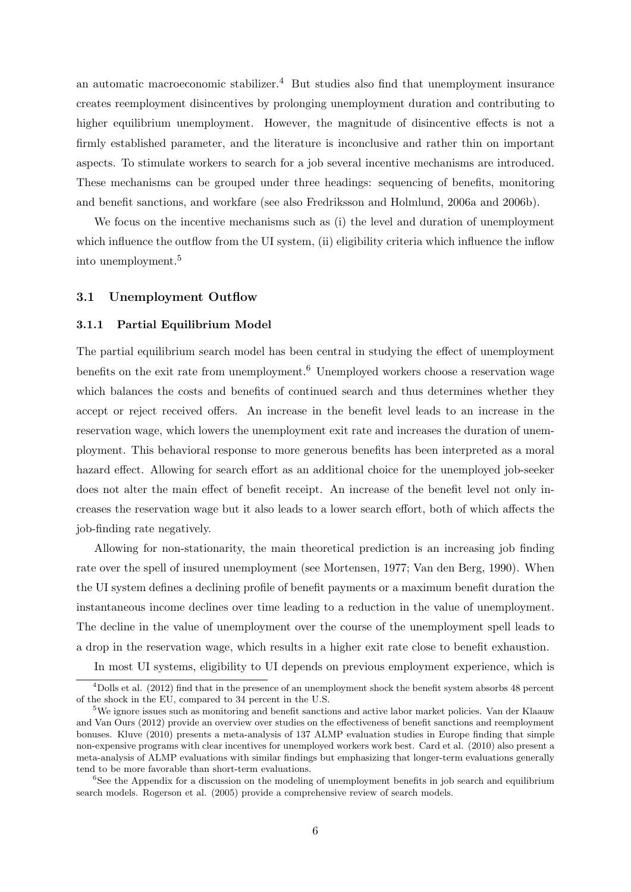an automatic macroeconomic stabilizer.<sup>4</sup> But studies also find that unemployment insurance creates reemployment disincentives by prolonging unemployment duration and contributing to higher equilibrium unemployment. However, the magnitude of disincentive effects is not a firmly established parameter, and the literature is inconclusive and rather thin on important aspects. To stimulate workers to search for a job several incentive mechanisms are introduced. These mechanisms can be grouped under three headings: sequencing of benefits, monitoring and benefit sanctions, and workfare (see also Fredriksson and Holmlund, 2006a and 2006b).

We focus on the incentive mechanisms such as (i) the level and duration of unemployment which influence the outflow from the UI system, (ii) eligibility criteria which influence the inflow into unemployment.<sup>5</sup>

#### 3.1 Unemployment Outflow

#### 3.1.1 Partial Equilibrium Model

The partial equilibrium search model has been central in studying the effect of unemployment benefits on the exit rate from unemployment.<sup>6</sup> Unemployed workers choose a reservation wage which balances the costs and benefits of continued search and thus determines whether they accept or reject received offers. An increase in the benefit level leads to an increase in the reservation wage, which lowers the unemployment exit rate and increases the duration of unemployment. This behavioral response to more generous benefits has been interpreted as a moral hazard effect. Allowing for search effort as an additional choice for the unemployed job-seeker does not alter the main effect of benefit receipt. An increase of the benefit level not only increases the reservation wage but it also leads to a lower search effort, both of which affects the job-finding rate negatively.

Allowing for non-stationarity, the main theoretical prediction is an increasing job finding rate over the spell of insured unemployment (see Mortensen, 1977; Van den Berg, 1990). When the UI system defines a declining profile of benefit payments or a maximum benefit duration the instantaneous income declines over time leading to a reduction in the value of unemployment. The decline in the value of unemployment over the course of the unemployment spell leads to a drop in the reservation wage, which results in a higher exit rate close to benefit exhaustion.

In most UI systems, eligibility to UI depends on previous employment experience, which is

<sup>4</sup>Dolls et al. (2012) find that in the presence of an unemployment shock the benefit system absorbs 48 percent of the shock in the EU, compared to 34 percent in the U.S.

<sup>5</sup>We ignore issues such as monitoring and benefit sanctions and active labor market policies. Van der Klaauw and Van Ours (2012) provide an overview over studies on the effectiveness of benefit sanctions and reemployment bonuses. Kluve (2010) presents a meta-analysis of 137 ALMP evaluation studies in Europe finding that simple non-expensive programs with clear incentives for unemployed workers work best. Card et al. (2010) also present a meta-analysis of ALMP evaluations with similar findings but emphasizing that longer-term evaluations generally tend to be more favorable than short-term evaluations.

<sup>&</sup>lt;sup>6</sup>See the Appendix for a discussion on the modeling of unemployment benefits in job search and equilibrium search models. Rogerson et al. (2005) provide a comprehensive review of search models.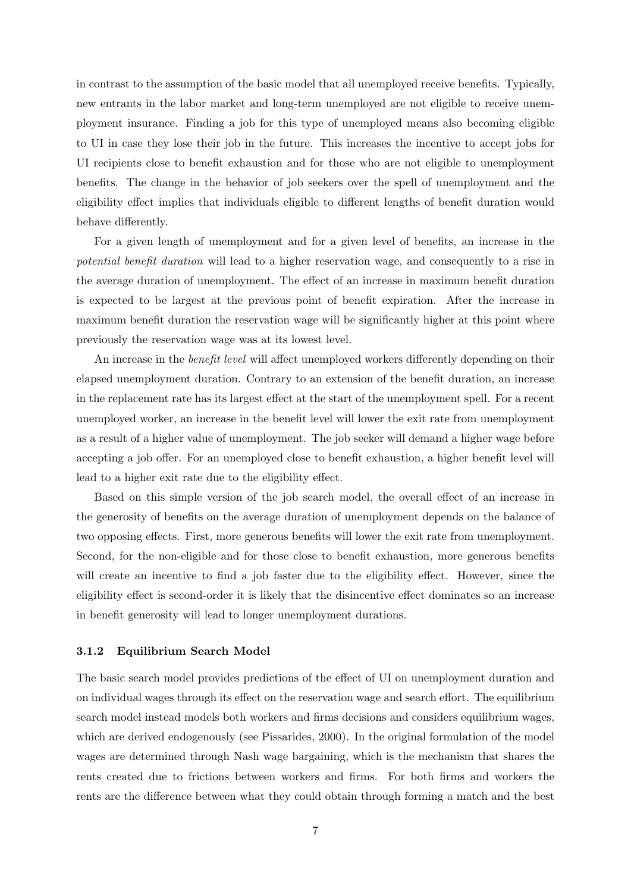in contrast to the assumption of the basic model that all unemployed receive benefits. Typically, new entrants in the labor market and long-term unemployed are not eligible to receive unemployment insurance. Finding a job for this type of unemployed means also becoming eligible to UI in case they lose their job in the future. This increases the incentive to accept jobs for UI recipients close to benefit exhaustion and for those who are not eligible to unemployment benefits. The change in the behavior of job seekers over the spell of unemployment and the eligibility effect implies that individuals eligible to different lengths of benefit duration would behave differently.

For a given length of unemployment and for a given level of benefits, an increase in the potential benefit duration will lead to a higher reservation wage, and consequently to a rise in the average duration of unemployment. The effect of an increase in maximum benefit duration is expected to be largest at the previous point of benefit expiration. After the increase in maximum benefit duration the reservation wage will be significantly higher at this point where previously the reservation wage was at its lowest level.

An increase in the *benefit level* will affect unemployed workers differently depending on their elapsed unemployment duration. Contrary to an extension of the benefit duration, an increase in the replacement rate has its largest effect at the start of the unemployment spell. For a recent unemployed worker, an increase in the benefit level will lower the exit rate from unemployment as a result of a higher value of unemployment. The job seeker will demand a higher wage before accepting a job offer. For an unemployed close to benefit exhaustion, a higher benefit level will lead to a higher exit rate due to the eligibility effect.

Based on this simple version of the job search model, the overall effect of an increase in the generosity of benefits on the average duration of unemployment depends on the balance of two opposing effects. First, more generous benefits will lower the exit rate from unemployment. Second, for the non-eligible and for those close to benefit exhaustion, more generous benefits will create an incentive to find a job faster due to the eligibility effect. However, since the eligibility effect is second-order it is likely that the disincentive effect dominates so an increase in benefit generosity will lead to longer unemployment durations.

#### 3.1.2 Equilibrium Search Model

The basic search model provides predictions of the effect of UI on unemployment duration and on individual wages through its effect on the reservation wage and search effort. The equilibrium search model instead models both workers and firms decisions and considers equilibrium wages, which are derived endogenously (see Pissarides, 2000). In the original formulation of the model wages are determined through Nash wage bargaining, which is the mechanism that shares the rents created due to frictions between workers and firms. For both firms and workers the rents are the difference between what they could obtain through forming a match and the best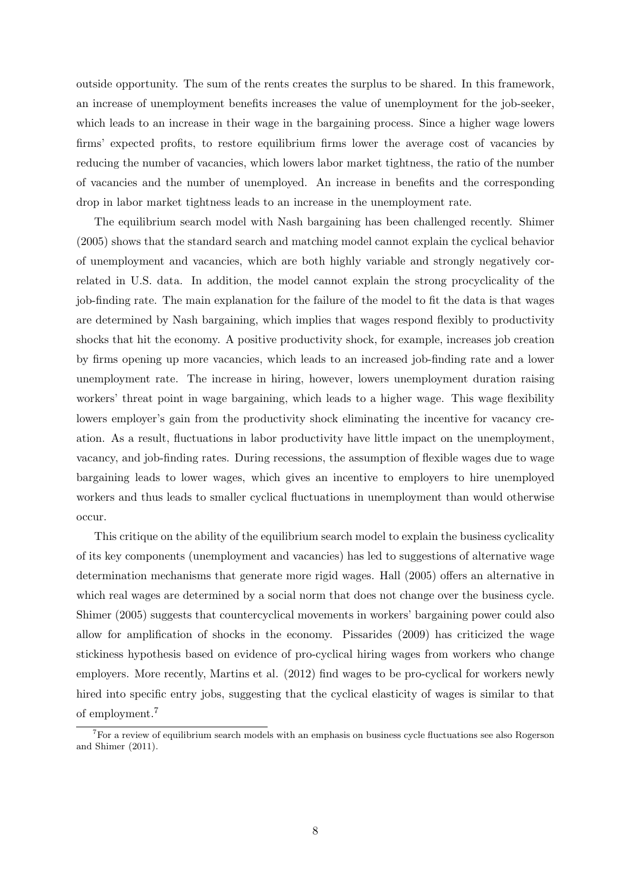outside opportunity. The sum of the rents creates the surplus to be shared. In this framework, an increase of unemployment benefits increases the value of unemployment for the job-seeker, which leads to an increase in their wage in the bargaining process. Since a higher wage lowers firms' expected profits, to restore equilibrium firms lower the average cost of vacancies by reducing the number of vacancies, which lowers labor market tightness, the ratio of the number of vacancies and the number of unemployed. An increase in benefits and the corresponding drop in labor market tightness leads to an increase in the unemployment rate.

The equilibrium search model with Nash bargaining has been challenged recently. Shimer (2005) shows that the standard search and matching model cannot explain the cyclical behavior of unemployment and vacancies, which are both highly variable and strongly negatively correlated in U.S. data. In addition, the model cannot explain the strong procyclicality of the job-finding rate. The main explanation for the failure of the model to fit the data is that wages are determined by Nash bargaining, which implies that wages respond flexibly to productivity shocks that hit the economy. A positive productivity shock, for example, increases job creation by firms opening up more vacancies, which leads to an increased job-finding rate and a lower unemployment rate. The increase in hiring, however, lowers unemployment duration raising workers' threat point in wage bargaining, which leads to a higher wage. This wage flexibility lowers employer's gain from the productivity shock eliminating the incentive for vacancy creation. As a result, fluctuations in labor productivity have little impact on the unemployment, vacancy, and job-finding rates. During recessions, the assumption of flexible wages due to wage bargaining leads to lower wages, which gives an incentive to employers to hire unemployed workers and thus leads to smaller cyclical fluctuations in unemployment than would otherwise occur.

This critique on the ability of the equilibrium search model to explain the business cyclicality of its key components (unemployment and vacancies) has led to suggestions of alternative wage determination mechanisms that generate more rigid wages. Hall (2005) offers an alternative in which real wages are determined by a social norm that does not change over the business cycle. Shimer (2005) suggests that countercyclical movements in workers' bargaining power could also allow for amplification of shocks in the economy. Pissarides (2009) has criticized the wage stickiness hypothesis based on evidence of pro-cyclical hiring wages from workers who change employers. More recently, Martins et al. (2012) find wages to be pro-cyclical for workers newly hired into specific entry jobs, suggesting that the cyclical elasticity of wages is similar to that of employment.<sup>7</sup>

 ${}^{7}$ For a review of equilibrium search models with an emphasis on business cycle fluctuations see also Rogerson and Shimer (2011).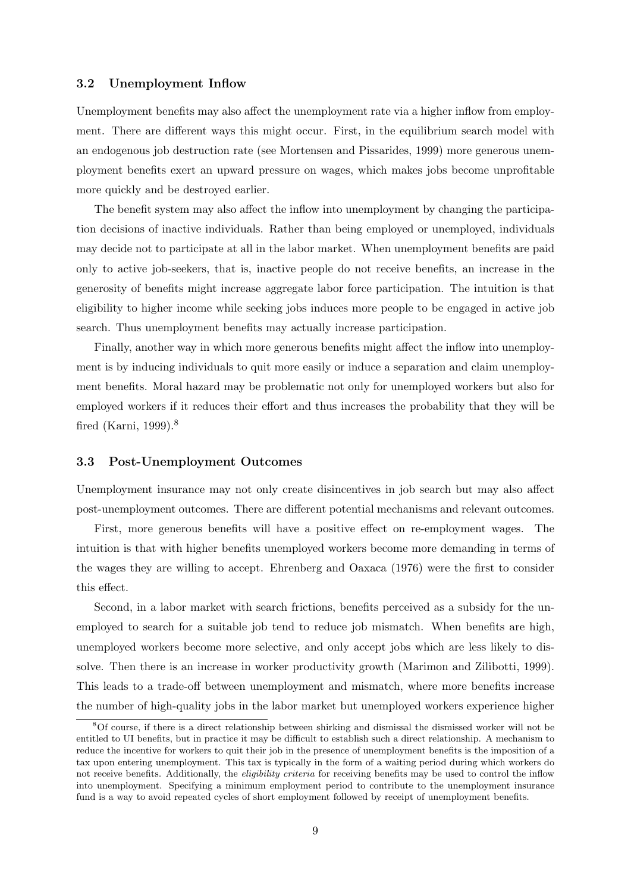### 3.2 Unemployment Inflow

Unemployment benefits may also affect the unemployment rate via a higher inflow from employment. There are different ways this might occur. First, in the equilibrium search model with an endogenous job destruction rate (see Mortensen and Pissarides, 1999) more generous unemployment benefits exert an upward pressure on wages, which makes jobs become unprofitable more quickly and be destroyed earlier.

The benefit system may also affect the inflow into unemployment by changing the participation decisions of inactive individuals. Rather than being employed or unemployed, individuals may decide not to participate at all in the labor market. When unemployment benefits are paid only to active job-seekers, that is, inactive people do not receive benefits, an increase in the generosity of benefits might increase aggregate labor force participation. The intuition is that eligibility to higher income while seeking jobs induces more people to be engaged in active job search. Thus unemployment benefits may actually increase participation.

Finally, another way in which more generous benefits might affect the inflow into unemployment is by inducing individuals to quit more easily or induce a separation and claim unemployment benefits. Moral hazard may be problematic not only for unemployed workers but also for employed workers if it reduces their effort and thus increases the probability that they will be fired (Karni, 1999).<sup>8</sup>

#### 3.3 Post-Unemployment Outcomes

Unemployment insurance may not only create disincentives in job search but may also affect post-unemployment outcomes. There are different potential mechanisms and relevant outcomes.

First, more generous benefits will have a positive effect on re-employment wages. The intuition is that with higher benefits unemployed workers become more demanding in terms of the wages they are willing to accept. Ehrenberg and Oaxaca (1976) were the first to consider this effect.

Second, in a labor market with search frictions, benefits perceived as a subsidy for the unemployed to search for a suitable job tend to reduce job mismatch. When benefits are high, unemployed workers become more selective, and only accept jobs which are less likely to dissolve. Then there is an increase in worker productivity growth (Marimon and Zilibotti, 1999). This leads to a trade-off between unemployment and mismatch, where more benefits increase the number of high-quality jobs in the labor market but unemployed workers experience higher

<sup>8</sup>Of course, if there is a direct relationship between shirking and dismissal the dismissed worker will not be entitled to UI benefits, but in practice it may be difficult to establish such a direct relationship. A mechanism to reduce the incentive for workers to quit their job in the presence of unemployment benefits is the imposition of a tax upon entering unemployment. This tax is typically in the form of a waiting period during which workers do not receive benefits. Additionally, the *eligibility criteria* for receiving benefits may be used to control the inflow into unemployment. Specifying a minimum employment period to contribute to the unemployment insurance fund is a way to avoid repeated cycles of short employment followed by receipt of unemployment benefits.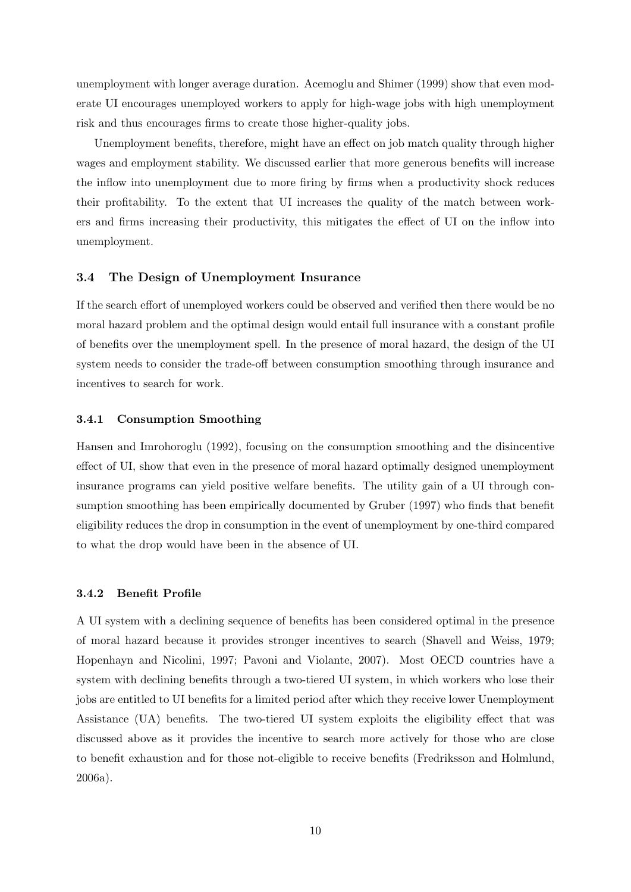unemployment with longer average duration. Acemoglu and Shimer (1999) show that even moderate UI encourages unemployed workers to apply for high-wage jobs with high unemployment risk and thus encourages firms to create those higher-quality jobs.

Unemployment benefits, therefore, might have an effect on job match quality through higher wages and employment stability. We discussed earlier that more generous benefits will increase the inflow into unemployment due to more firing by firms when a productivity shock reduces their profitability. To the extent that UI increases the quality of the match between workers and firms increasing their productivity, this mitigates the effect of UI on the inflow into unemployment.

#### 3.4 The Design of Unemployment Insurance

If the search effort of unemployed workers could be observed and verified then there would be no moral hazard problem and the optimal design would entail full insurance with a constant profile of benefits over the unemployment spell. In the presence of moral hazard, the design of the UI system needs to consider the trade-off between consumption smoothing through insurance and incentives to search for work.

#### 3.4.1 Consumption Smoothing

Hansen and Imrohoroglu (1992), focusing on the consumption smoothing and the disincentive effect of UI, show that even in the presence of moral hazard optimally designed unemployment insurance programs can yield positive welfare benefits. The utility gain of a UI through consumption smoothing has been empirically documented by Gruber (1997) who finds that benefit eligibility reduces the drop in consumption in the event of unemployment by one-third compared to what the drop would have been in the absence of UI.

#### 3.4.2 Benefit Profile

A UI system with a declining sequence of benefits has been considered optimal in the presence of moral hazard because it provides stronger incentives to search (Shavell and Weiss, 1979; Hopenhayn and Nicolini, 1997; Pavoni and Violante, 2007). Most OECD countries have a system with declining benefits through a two-tiered UI system, in which workers who lose their jobs are entitled to UI benefits for a limited period after which they receive lower Unemployment Assistance (UA) benefits. The two-tiered UI system exploits the eligibility effect that was discussed above as it provides the incentive to search more actively for those who are close to benefit exhaustion and for those not-eligible to receive benefits (Fredriksson and Holmlund, 2006a).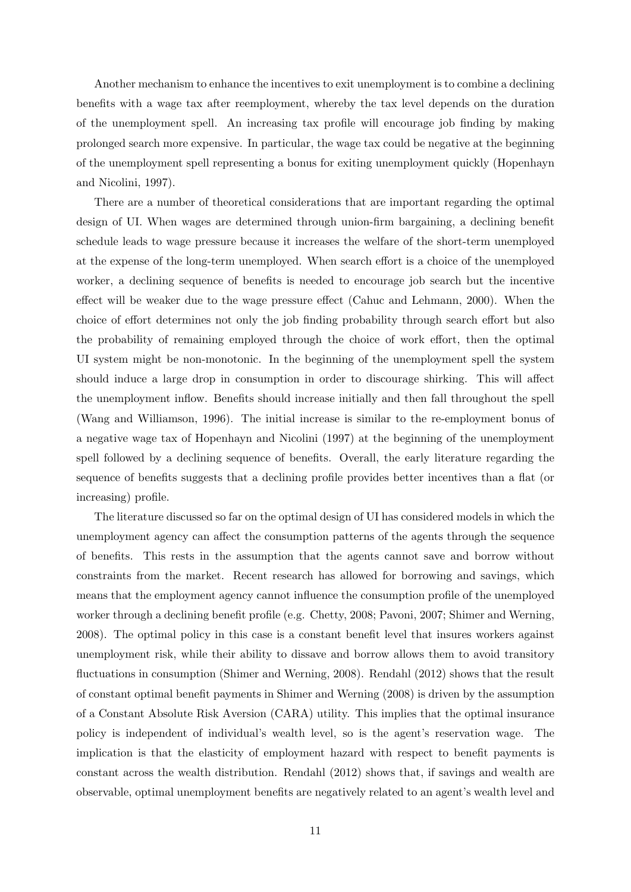Another mechanism to enhance the incentives to exit unemployment is to combine a declining benefits with a wage tax after reemployment, whereby the tax level depends on the duration of the unemployment spell. An increasing tax profile will encourage job finding by making prolonged search more expensive. In particular, the wage tax could be negative at the beginning of the unemployment spell representing a bonus for exiting unemployment quickly (Hopenhayn and Nicolini, 1997).

There are a number of theoretical considerations that are important regarding the optimal design of UI. When wages are determined through union-firm bargaining, a declining benefit schedule leads to wage pressure because it increases the welfare of the short-term unemployed at the expense of the long-term unemployed. When search effort is a choice of the unemployed worker, a declining sequence of benefits is needed to encourage job search but the incentive effect will be weaker due to the wage pressure effect (Cahuc and Lehmann, 2000). When the choice of effort determines not only the job finding probability through search effort but also the probability of remaining employed through the choice of work effort, then the optimal UI system might be non-monotonic. In the beginning of the unemployment spell the system should induce a large drop in consumption in order to discourage shirking. This will affect the unemployment inflow. Benefits should increase initially and then fall throughout the spell (Wang and Williamson, 1996). The initial increase is similar to the re-employment bonus of a negative wage tax of Hopenhayn and Nicolini (1997) at the beginning of the unemployment spell followed by a declining sequence of benefits. Overall, the early literature regarding the sequence of benefits suggests that a declining profile provides better incentives than a flat (or increasing) profile.

The literature discussed so far on the optimal design of UI has considered models in which the unemployment agency can affect the consumption patterns of the agents through the sequence of benefits. This rests in the assumption that the agents cannot save and borrow without constraints from the market. Recent research has allowed for borrowing and savings, which means that the employment agency cannot influence the consumption profile of the unemployed worker through a declining benefit profile (e.g. Chetty, 2008; Pavoni, 2007; Shimer and Werning, 2008). The optimal policy in this case is a constant benefit level that insures workers against unemployment risk, while their ability to dissave and borrow allows them to avoid transitory fluctuations in consumption (Shimer and Werning, 2008). Rendahl (2012) shows that the result of constant optimal benefit payments in Shimer and Werning (2008) is driven by the assumption of a Constant Absolute Risk Aversion (CARA) utility. This implies that the optimal insurance policy is independent of individual's wealth level, so is the agent's reservation wage. The implication is that the elasticity of employment hazard with respect to benefit payments is constant across the wealth distribution. Rendahl (2012) shows that, if savings and wealth are observable, optimal unemployment benefits are negatively related to an agent's wealth level and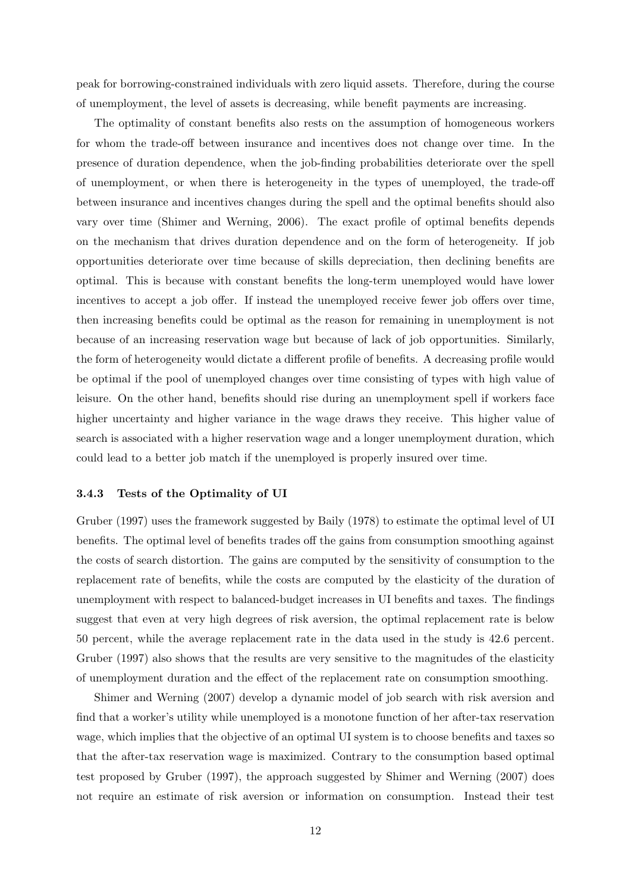peak for borrowing-constrained individuals with zero liquid assets. Therefore, during the course of unemployment, the level of assets is decreasing, while benefit payments are increasing.

The optimality of constant benefits also rests on the assumption of homogeneous workers for whom the trade-off between insurance and incentives does not change over time. In the presence of duration dependence, when the job-finding probabilities deteriorate over the spell of unemployment, or when there is heterogeneity in the types of unemployed, the trade-off between insurance and incentives changes during the spell and the optimal benefits should also vary over time (Shimer and Werning, 2006). The exact profile of optimal benefits depends on the mechanism that drives duration dependence and on the form of heterogeneity. If job opportunities deteriorate over time because of skills depreciation, then declining benefits are optimal. This is because with constant benefits the long-term unemployed would have lower incentives to accept a job offer. If instead the unemployed receive fewer job offers over time, then increasing benefits could be optimal as the reason for remaining in unemployment is not because of an increasing reservation wage but because of lack of job opportunities. Similarly, the form of heterogeneity would dictate a different profile of benefits. A decreasing profile would be optimal if the pool of unemployed changes over time consisting of types with high value of leisure. On the other hand, benefits should rise during an unemployment spell if workers face higher uncertainty and higher variance in the wage draws they receive. This higher value of search is associated with a higher reservation wage and a longer unemployment duration, which could lead to a better job match if the unemployed is properly insured over time.

#### 3.4.3 Tests of the Optimality of UI

Gruber (1997) uses the framework suggested by Baily (1978) to estimate the optimal level of UI benefits. The optimal level of benefits trades off the gains from consumption smoothing against the costs of search distortion. The gains are computed by the sensitivity of consumption to the replacement rate of benefits, while the costs are computed by the elasticity of the duration of unemployment with respect to balanced-budget increases in UI benefits and taxes. The findings suggest that even at very high degrees of risk aversion, the optimal replacement rate is below 50 percent, while the average replacement rate in the data used in the study is 42.6 percent. Gruber (1997) also shows that the results are very sensitive to the magnitudes of the elasticity of unemployment duration and the effect of the replacement rate on consumption smoothing.

Shimer and Werning (2007) develop a dynamic model of job search with risk aversion and find that a worker's utility while unemployed is a monotone function of her after-tax reservation wage, which implies that the objective of an optimal UI system is to choose benefits and taxes so that the after-tax reservation wage is maximized. Contrary to the consumption based optimal test proposed by Gruber (1997), the approach suggested by Shimer and Werning (2007) does not require an estimate of risk aversion or information on consumption. Instead their test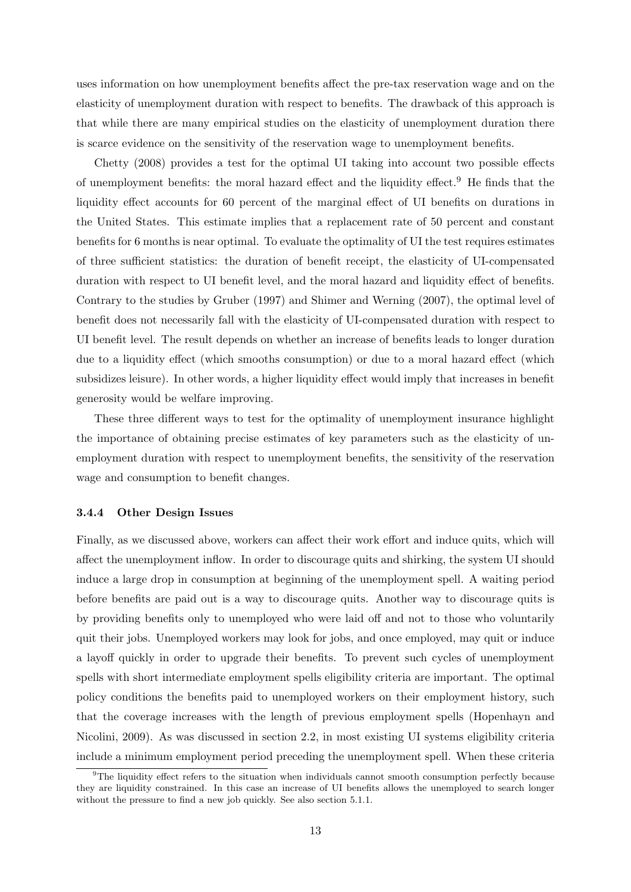uses information on how unemployment benefits affect the pre-tax reservation wage and on the elasticity of unemployment duration with respect to benefits. The drawback of this approach is that while there are many empirical studies on the elasticity of unemployment duration there is scarce evidence on the sensitivity of the reservation wage to unemployment benefits.

Chetty (2008) provides a test for the optimal UI taking into account two possible effects of unemployment benefits: the moral hazard effect and the liquidity effect.<sup>9</sup> He finds that the liquidity effect accounts for 60 percent of the marginal effect of UI benefits on durations in the United States. This estimate implies that a replacement rate of 50 percent and constant benefits for 6 months is near optimal. To evaluate the optimality of UI the test requires estimates of three sufficient statistics: the duration of benefit receipt, the elasticity of UI-compensated duration with respect to UI benefit level, and the moral hazard and liquidity effect of benefits. Contrary to the studies by Gruber (1997) and Shimer and Werning (2007), the optimal level of benefit does not necessarily fall with the elasticity of UI-compensated duration with respect to UI benefit level. The result depends on whether an increase of benefits leads to longer duration due to a liquidity effect (which smooths consumption) or due to a moral hazard effect (which subsidizes leisure). In other words, a higher liquidity effect would imply that increases in benefit generosity would be welfare improving.

These three different ways to test for the optimality of unemployment insurance highlight the importance of obtaining precise estimates of key parameters such as the elasticity of unemployment duration with respect to unemployment benefits, the sensitivity of the reservation wage and consumption to benefit changes.

#### 3.4.4 Other Design Issues

Finally, as we discussed above, workers can affect their work effort and induce quits, which will affect the unemployment inflow. In order to discourage quits and shirking, the system UI should induce a large drop in consumption at beginning of the unemployment spell. A waiting period before benefits are paid out is a way to discourage quits. Another way to discourage quits is by providing benefits only to unemployed who were laid off and not to those who voluntarily quit their jobs. Unemployed workers may look for jobs, and once employed, may quit or induce a layoff quickly in order to upgrade their benefits. To prevent such cycles of unemployment spells with short intermediate employment spells eligibility criteria are important. The optimal policy conditions the benefits paid to unemployed workers on their employment history, such that the coverage increases with the length of previous employment spells (Hopenhayn and Nicolini, 2009). As was discussed in section 2.2, in most existing UI systems eligibility criteria include a minimum employment period preceding the unemployment spell. When these criteria

<sup>&</sup>lt;sup>9</sup>The liquidity effect refers to the situation when individuals cannot smooth consumption perfectly because they are liquidity constrained. In this case an increase of UI benefits allows the unemployed to search longer without the pressure to find a new job quickly. See also section 5.1.1.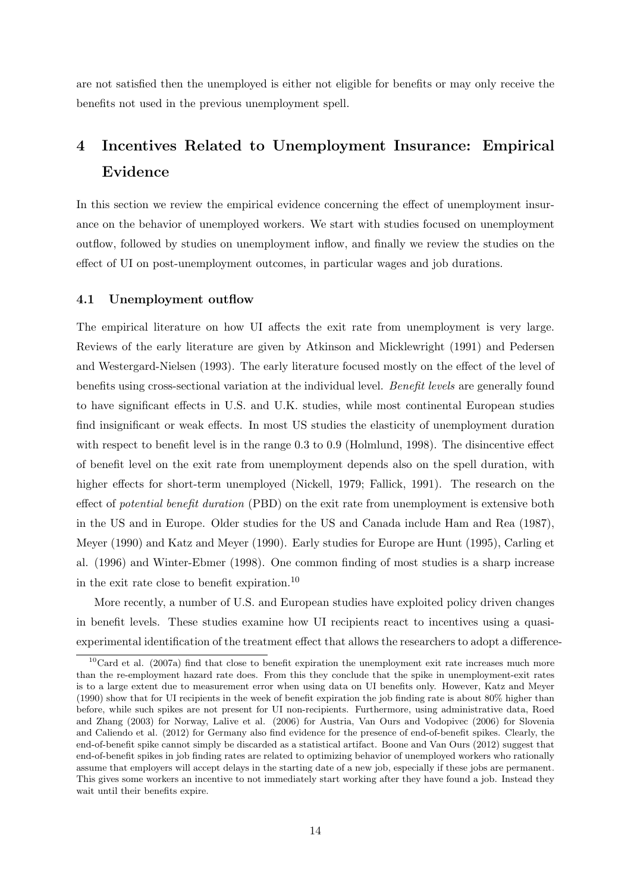are not satisfied then the unemployed is either not eligible for benefits or may only receive the benefits not used in the previous unemployment spell.

# 4 Incentives Related to Unemployment Insurance: Empirical Evidence

In this section we review the empirical evidence concerning the effect of unemployment insurance on the behavior of unemployed workers. We start with studies focused on unemployment outflow, followed by studies on unemployment inflow, and finally we review the studies on the effect of UI on post-unemployment outcomes, in particular wages and job durations.

#### 4.1 Unemployment outflow

The empirical literature on how UI affects the exit rate from unemployment is very large. Reviews of the early literature are given by Atkinson and Micklewright (1991) and Pedersen and Westergard-Nielsen (1993). The early literature focused mostly on the effect of the level of benefits using cross-sectional variation at the individual level. Benefit levels are generally found to have significant effects in U.S. and U.K. studies, while most continental European studies find insignificant or weak effects. In most US studies the elasticity of unemployment duration with respect to benefit level is in the range 0.3 to 0.9 (Holmlund, 1998). The disincentive effect of benefit level on the exit rate from unemployment depends also on the spell duration, with higher effects for short-term unemployed (Nickell, 1979; Fallick, 1991). The research on the effect of potential benefit duration (PBD) on the exit rate from unemployment is extensive both in the US and in Europe. Older studies for the US and Canada include Ham and Rea (1987), Meyer (1990) and Katz and Meyer (1990). Early studies for Europe are Hunt (1995), Carling et al. (1996) and Winter-Ebmer (1998). One common finding of most studies is a sharp increase in the exit rate close to benefit expiration.<sup>10</sup>

More recently, a number of U.S. and European studies have exploited policy driven changes in benefit levels. These studies examine how UI recipients react to incentives using a quasiexperimental identification of the treatment effect that allows the researchers to adopt a difference-

 $10$ Card et al. (2007a) find that close to benefit expiration the unemployment exit rate increases much more than the re-employment hazard rate does. From this they conclude that the spike in unemployment-exit rates is to a large extent due to measurement error when using data on UI benefits only. However, Katz and Meyer (1990) show that for UI recipients in the week of benefit expiration the job finding rate is about 80% higher than before, while such spikes are not present for UI non-recipients. Furthermore, using administrative data, Roed and Zhang (2003) for Norway, Lalive et al. (2006) for Austria, Van Ours and Vodopivec (2006) for Slovenia and Caliendo et al. (2012) for Germany also find evidence for the presence of end-of-benefit spikes. Clearly, the end-of-benefit spike cannot simply be discarded as a statistical artifact. Boone and Van Ours (2012) suggest that end-of-benefit spikes in job finding rates are related to optimizing behavior of unemployed workers who rationally assume that employers will accept delays in the starting date of a new job, especially if these jobs are permanent. This gives some workers an incentive to not immediately start working after they have found a job. Instead they wait until their benefits expire.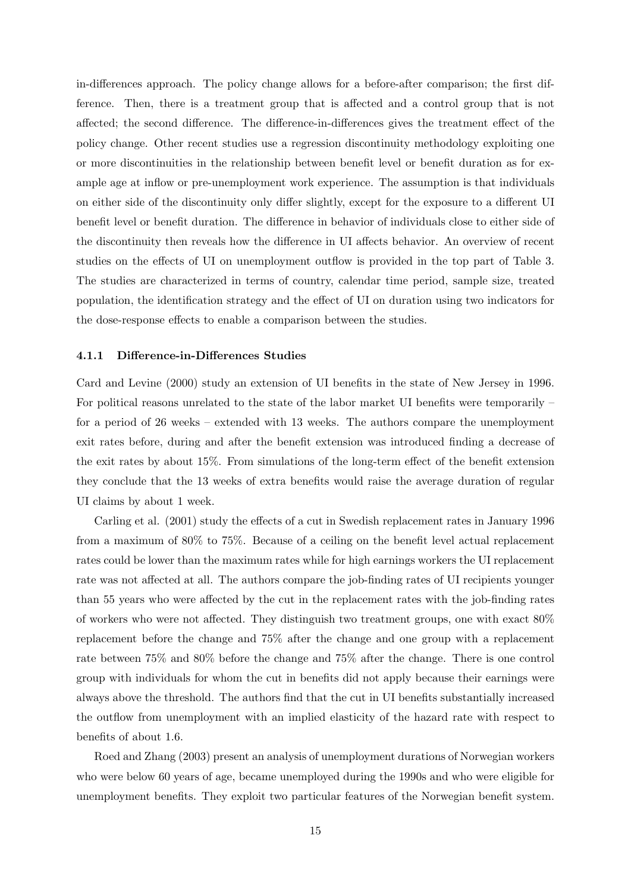in-differences approach. The policy change allows for a before-after comparison; the first difference. Then, there is a treatment group that is affected and a control group that is not affected; the second difference. The difference-in-differences gives the treatment effect of the policy change. Other recent studies use a regression discontinuity methodology exploiting one or more discontinuities in the relationship between benefit level or benefit duration as for example age at inflow or pre-unemployment work experience. The assumption is that individuals on either side of the discontinuity only differ slightly, except for the exposure to a different UI benefit level or benefit duration. The difference in behavior of individuals close to either side of the discontinuity then reveals how the difference in UI affects behavior. An overview of recent studies on the effects of UI on unemployment outflow is provided in the top part of Table 3. The studies are characterized in terms of country, calendar time period, sample size, treated population, the identification strategy and the effect of UI on duration using two indicators for the dose-response effects to enable a comparison between the studies.

#### 4.1.1 Difference-in-Differences Studies

Card and Levine (2000) study an extension of UI benefits in the state of New Jersey in 1996. For political reasons unrelated to the state of the labor market UI benefits were temporarily – for a period of 26 weeks – extended with 13 weeks. The authors compare the unemployment exit rates before, during and after the benefit extension was introduced finding a decrease of the exit rates by about 15%. From simulations of the long-term effect of the benefit extension they conclude that the 13 weeks of extra benefits would raise the average duration of regular UI claims by about 1 week.

Carling et al. (2001) study the effects of a cut in Swedish replacement rates in January 1996 from a maximum of 80% to 75%. Because of a ceiling on the benefit level actual replacement rates could be lower than the maximum rates while for high earnings workers the UI replacement rate was not affected at all. The authors compare the job-finding rates of UI recipients younger than 55 years who were affected by the cut in the replacement rates with the job-finding rates of workers who were not affected. They distinguish two treatment groups, one with exact 80% replacement before the change and 75% after the change and one group with a replacement rate between 75% and 80% before the change and 75% after the change. There is one control group with individuals for whom the cut in benefits did not apply because their earnings were always above the threshold. The authors find that the cut in UI benefits substantially increased the outflow from unemployment with an implied elasticity of the hazard rate with respect to benefits of about 1.6.

Roed and Zhang (2003) present an analysis of unemployment durations of Norwegian workers who were below 60 years of age, became unemployed during the 1990s and who were eligible for unemployment benefits. They exploit two particular features of the Norwegian benefit system.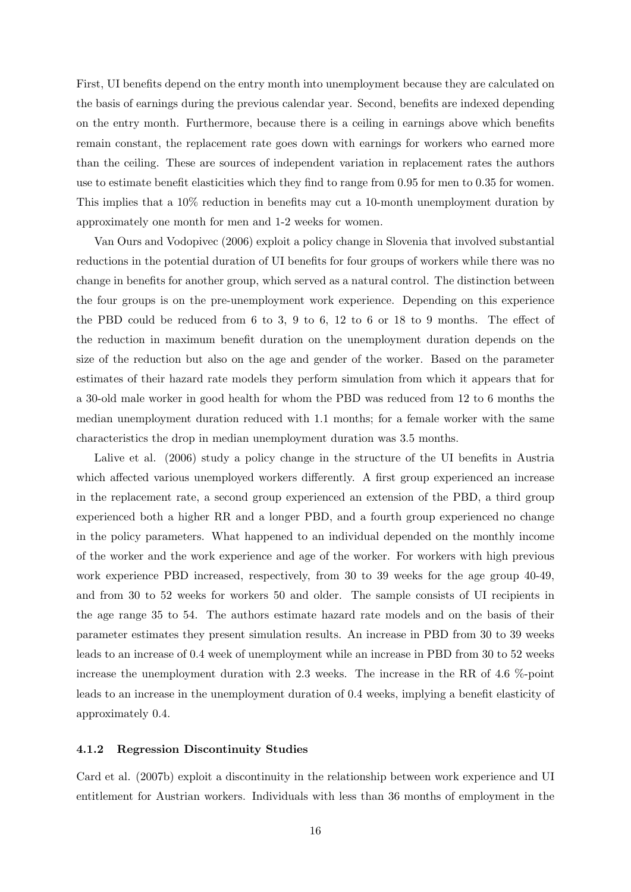First, UI benefits depend on the entry month into unemployment because they are calculated on the basis of earnings during the previous calendar year. Second, benefits are indexed depending on the entry month. Furthermore, because there is a ceiling in earnings above which benefits remain constant, the replacement rate goes down with earnings for workers who earned more than the ceiling. These are sources of independent variation in replacement rates the authors use to estimate benefit elasticities which they find to range from 0.95 for men to 0.35 for women. This implies that a 10% reduction in benefits may cut a 10-month unemployment duration by approximately one month for men and 1-2 weeks for women.

Van Ours and Vodopivec (2006) exploit a policy change in Slovenia that involved substantial reductions in the potential duration of UI benefits for four groups of workers while there was no change in benefits for another group, which served as a natural control. The distinction between the four groups is on the pre-unemployment work experience. Depending on this experience the PBD could be reduced from 6 to 3, 9 to 6, 12 to 6 or 18 to 9 months. The effect of the reduction in maximum benefit duration on the unemployment duration depends on the size of the reduction but also on the age and gender of the worker. Based on the parameter estimates of their hazard rate models they perform simulation from which it appears that for a 30-old male worker in good health for whom the PBD was reduced from 12 to 6 months the median unemployment duration reduced with 1.1 months; for a female worker with the same characteristics the drop in median unemployment duration was 3.5 months.

Lalive et al. (2006) study a policy change in the structure of the UI benefits in Austria which affected various unemployed workers differently. A first group experienced an increase in the replacement rate, a second group experienced an extension of the PBD, a third group experienced both a higher RR and a longer PBD, and a fourth group experienced no change in the policy parameters. What happened to an individual depended on the monthly income of the worker and the work experience and age of the worker. For workers with high previous work experience PBD increased, respectively, from 30 to 39 weeks for the age group 40-49, and from 30 to 52 weeks for workers 50 and older. The sample consists of UI recipients in the age range 35 to 54. The authors estimate hazard rate models and on the basis of their parameter estimates they present simulation results. An increase in PBD from 30 to 39 weeks leads to an increase of 0.4 week of unemployment while an increase in PBD from 30 to 52 weeks increase the unemployment duration with 2.3 weeks. The increase in the RR of 4.6 %-point leads to an increase in the unemployment duration of 0.4 weeks, implying a benefit elasticity of approximately 0.4.

#### 4.1.2 Regression Discontinuity Studies

Card et al. (2007b) exploit a discontinuity in the relationship between work experience and UI entitlement for Austrian workers. Individuals with less than 36 months of employment in the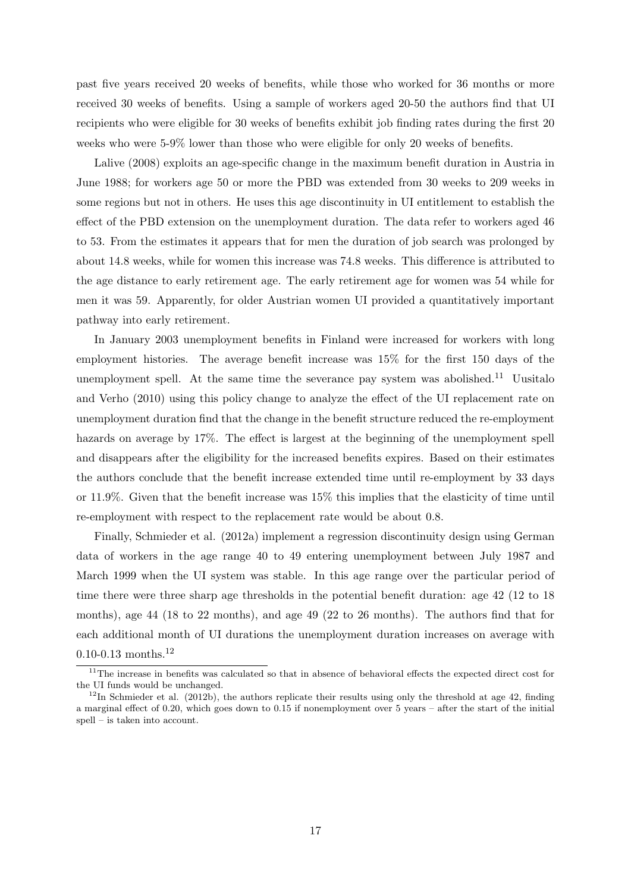past five years received 20 weeks of benefits, while those who worked for 36 months or more received 30 weeks of benefits. Using a sample of workers aged 20-50 the authors find that UI recipients who were eligible for 30 weeks of benefits exhibit job finding rates during the first 20 weeks who were 5-9% lower than those who were eligible for only 20 weeks of benefits.

Lalive (2008) exploits an age-specific change in the maximum benefit duration in Austria in June 1988; for workers age 50 or more the PBD was extended from 30 weeks to 209 weeks in some regions but not in others. He uses this age discontinuity in UI entitlement to establish the effect of the PBD extension on the unemployment duration. The data refer to workers aged 46 to 53. From the estimates it appears that for men the duration of job search was prolonged by about 14.8 weeks, while for women this increase was 74.8 weeks. This difference is attributed to the age distance to early retirement age. The early retirement age for women was 54 while for men it was 59. Apparently, for older Austrian women UI provided a quantitatively important pathway into early retirement.

In January 2003 unemployment benefits in Finland were increased for workers with long employment histories. The average benefit increase was 15% for the first 150 days of the unemployment spell. At the same time the severance pay system was abolished.<sup>11</sup> Uusitalo and Verho (2010) using this policy change to analyze the effect of the UI replacement rate on unemployment duration find that the change in the benefit structure reduced the re-employment hazards on average by 17%. The effect is largest at the beginning of the unemployment spell and disappears after the eligibility for the increased benefits expires. Based on their estimates the authors conclude that the benefit increase extended time until re-employment by 33 days or 11.9%. Given that the benefit increase was 15% this implies that the elasticity of time until re-employment with respect to the replacement rate would be about 0.8.

Finally, Schmieder et al. (2012a) implement a regression discontinuity design using German data of workers in the age range 40 to 49 entering unemployment between July 1987 and March 1999 when the UI system was stable. In this age range over the particular period of time there were three sharp age thresholds in the potential benefit duration: age 42 (12 to 18 months), age 44 (18 to 22 months), and age 49 (22 to 26 months). The authors find that for each additional month of UI durations the unemployment duration increases on average with 0.10-0.13 months.<sup>12</sup>

<sup>&</sup>lt;sup>11</sup>The increase in benefits was calculated so that in absence of behavioral effects the expected direct cost for the UI funds would be unchanged.

 $12$ In Schmieder et al. (2012b), the authors replicate their results using only the threshold at age 42, finding a marginal effect of 0.20, which goes down to 0.15 if nonemployment over 5 years – after the start of the initial spell – is taken into account.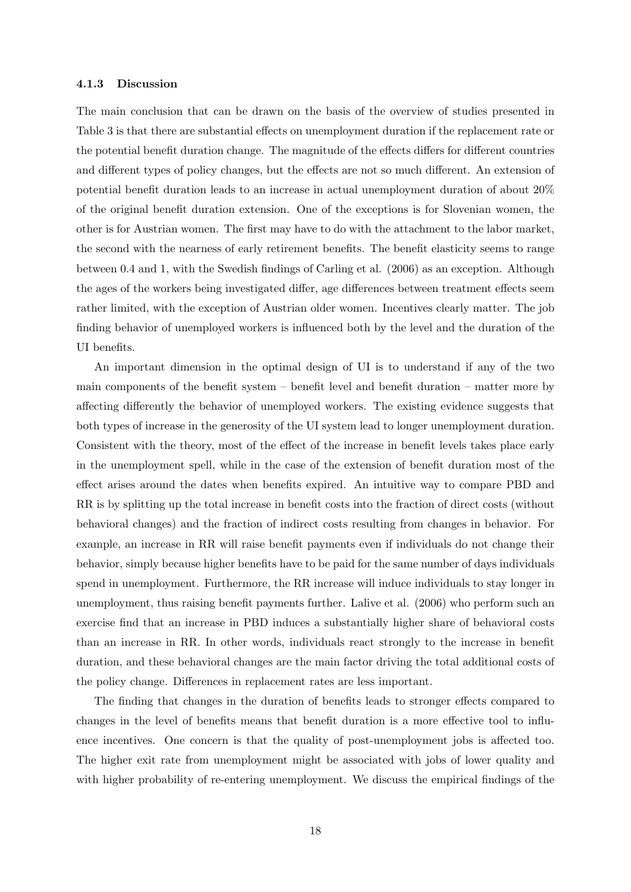#### 4.1.3 Discussion

The main conclusion that can be drawn on the basis of the overview of studies presented in Table 3 is that there are substantial effects on unemployment duration if the replacement rate or the potential benefit duration change. The magnitude of the effects differs for different countries and different types of policy changes, but the effects are not so much different. An extension of potential benefit duration leads to an increase in actual unemployment duration of about 20% of the original benefit duration extension. One of the exceptions is for Slovenian women, the other is for Austrian women. The first may have to do with the attachment to the labor market, the second with the nearness of early retirement benefits. The benefit elasticity seems to range between 0.4 and 1, with the Swedish findings of Carling et al. (2006) as an exception. Although the ages of the workers being investigated differ, age differences between treatment effects seem rather limited, with the exception of Austrian older women. Incentives clearly matter. The job finding behavior of unemployed workers is influenced both by the level and the duration of the UI benefits.

An important dimension in the optimal design of UI is to understand if any of the two main components of the benefit system – benefit level and benefit duration – matter more by affecting differently the behavior of unemployed workers. The existing evidence suggests that both types of increase in the generosity of the UI system lead to longer unemployment duration. Consistent with the theory, most of the effect of the increase in benefit levels takes place early in the unemployment spell, while in the case of the extension of benefit duration most of the effect arises around the dates when benefits expired. An intuitive way to compare PBD and RR is by splitting up the total increase in benefit costs into the fraction of direct costs (without behavioral changes) and the fraction of indirect costs resulting from changes in behavior. For example, an increase in RR will raise benefit payments even if individuals do not change their behavior, simply because higher benefits have to be paid for the same number of days individuals spend in unemployment. Furthermore, the RR increase will induce individuals to stay longer in unemployment, thus raising benefit payments further. Lalive et al. (2006) who perform such an exercise find that an increase in PBD induces a substantially higher share of behavioral costs than an increase in RR. In other words, individuals react strongly to the increase in benefit duration, and these behavioral changes are the main factor driving the total additional costs of the policy change. Differences in replacement rates are less important.

The finding that changes in the duration of benefits leads to stronger effects compared to changes in the level of benefits means that benefit duration is a more effective tool to influence incentives. One concern is that the quality of post-unemployment jobs is affected too. The higher exit rate from unemployment might be associated with jobs of lower quality and with higher probability of re-entering unemployment. We discuss the empirical findings of the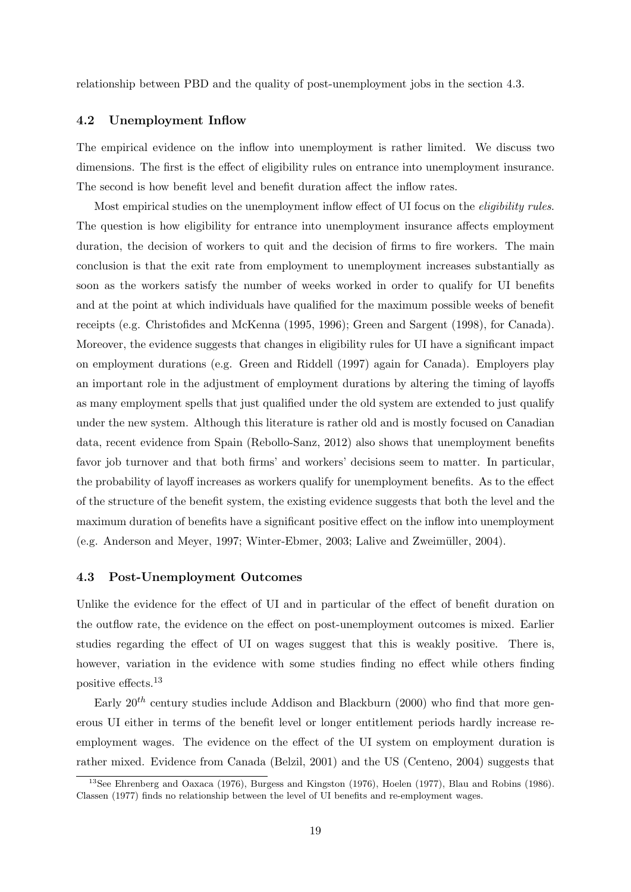relationship between PBD and the quality of post-unemployment jobs in the section 4.3.

#### 4.2 Unemployment Inflow

The empirical evidence on the inflow into unemployment is rather limited. We discuss two dimensions. The first is the effect of eligibility rules on entrance into unemployment insurance. The second is how benefit level and benefit duration affect the inflow rates.

Most empirical studies on the unemployment inflow effect of UI focus on the *eligibility rules*. The question is how eligibility for entrance into unemployment insurance affects employment duration, the decision of workers to quit and the decision of firms to fire workers. The main conclusion is that the exit rate from employment to unemployment increases substantially as soon as the workers satisfy the number of weeks worked in order to qualify for UI benefits and at the point at which individuals have qualified for the maximum possible weeks of benefit receipts (e.g. Christofides and McKenna (1995, 1996); Green and Sargent (1998), for Canada). Moreover, the evidence suggests that changes in eligibility rules for UI have a significant impact on employment durations (e.g. Green and Riddell (1997) again for Canada). Employers play an important role in the adjustment of employment durations by altering the timing of layoffs as many employment spells that just qualified under the old system are extended to just qualify under the new system. Although this literature is rather old and is mostly focused on Canadian data, recent evidence from Spain (Rebollo-Sanz, 2012) also shows that unemployment benefits favor job turnover and that both firms' and workers' decisions seem to matter. In particular, the probability of layoff increases as workers qualify for unemployment benefits. As to the effect of the structure of the benefit system, the existing evidence suggests that both the level and the maximum duration of benefits have a significant positive effect on the inflow into unemployment (e.g. Anderson and Meyer, 1997; Winter-Ebmer, 2003; Lalive and Zweim¨uller, 2004).

#### 4.3 Post-Unemployment Outcomes

Unlike the evidence for the effect of UI and in particular of the effect of benefit duration on the outflow rate, the evidence on the effect on post-unemployment outcomes is mixed. Earlier studies regarding the effect of UI on wages suggest that this is weakly positive. There is, however, variation in the evidence with some studies finding no effect while others finding positive effects.<sup>13</sup>

Early  $20<sup>th</sup>$  century studies include Addison and Blackburn (2000) who find that more generous UI either in terms of the benefit level or longer entitlement periods hardly increase reemployment wages. The evidence on the effect of the UI system on employment duration is rather mixed. Evidence from Canada (Belzil, 2001) and the US (Centeno, 2004) suggests that

<sup>13</sup>See Ehrenberg and Oaxaca (1976), Burgess and Kingston (1976), Hoelen (1977), Blau and Robins (1986). Classen (1977) finds no relationship between the level of UI benefits and re-employment wages.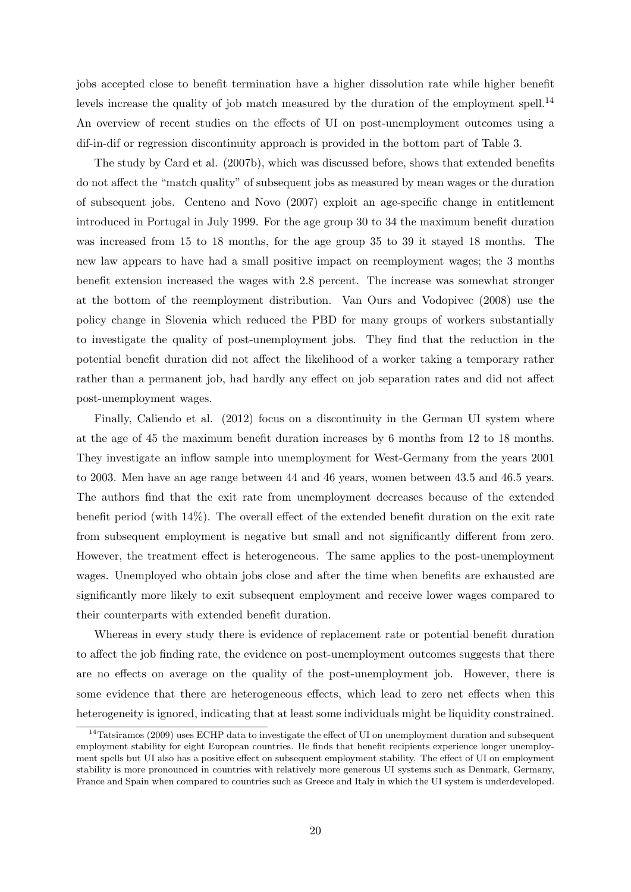jobs accepted close to benefit termination have a higher dissolution rate while higher benefit levels increase the quality of job match measured by the duration of the employment spell.<sup>14</sup> An overview of recent studies on the effects of UI on post-unemployment outcomes using a dif-in-dif or regression discontinuity approach is provided in the bottom part of Table 3.

The study by Card et al. (2007b), which was discussed before, shows that extended benefits do not affect the "match quality" of subsequent jobs as measured by mean wages or the duration of subsequent jobs. Centeno and Novo (2007) exploit an age-specific change in entitlement introduced in Portugal in July 1999. For the age group 30 to 34 the maximum benefit duration was increased from 15 to 18 months, for the age group 35 to 39 it stayed 18 months. The new law appears to have had a small positive impact on reemployment wages; the 3 months benefit extension increased the wages with 2.8 percent. The increase was somewhat stronger at the bottom of the reemployment distribution. Van Ours and Vodopivec (2008) use the policy change in Slovenia which reduced the PBD for many groups of workers substantially to investigate the quality of post-unemployment jobs. They find that the reduction in the potential benefit duration did not affect the likelihood of a worker taking a temporary rather rather than a permanent job, had hardly any effect on job separation rates and did not affect post-unemployment wages.

Finally, Caliendo et al. (2012) focus on a discontinuity in the German UI system where at the age of 45 the maximum benefit duration increases by 6 months from 12 to 18 months. They investigate an inflow sample into unemployment for West-Germany from the years 2001 to 2003. Men have an age range between 44 and 46 years, women between 43.5 and 46.5 years. The authors find that the exit rate from unemployment decreases because of the extended benefit period (with 14%). The overall effect of the extended benefit duration on the exit rate from subsequent employment is negative but small and not significantly different from zero. However, the treatment effect is heterogeneous. The same applies to the post-unemployment wages. Unemployed who obtain jobs close and after the time when benefits are exhausted are significantly more likely to exit subsequent employment and receive lower wages compared to their counterparts with extended benefit duration.

Whereas in every study there is evidence of replacement rate or potential benefit duration to affect the job finding rate, the evidence on post-unemployment outcomes suggests that there are no effects on average on the quality of the post-unemployment job. However, there is some evidence that there are heterogeneous effects, which lead to zero net effects when this heterogeneity is ignored, indicating that at least some individuals might be liquidity constrained.

 $14$ Tatsiramos (2009) uses ECHP data to investigate the effect of UI on unemployment duration and subsequent employment stability for eight European countries. He finds that benefit recipients experience longer unemployment spells but UI also has a positive effect on subsequent employment stability. The effect of UI on employment stability is more pronounced in countries with relatively more generous UI systems such as Denmark, Germany, France and Spain when compared to countries such as Greece and Italy in which the UI system is underdeveloped.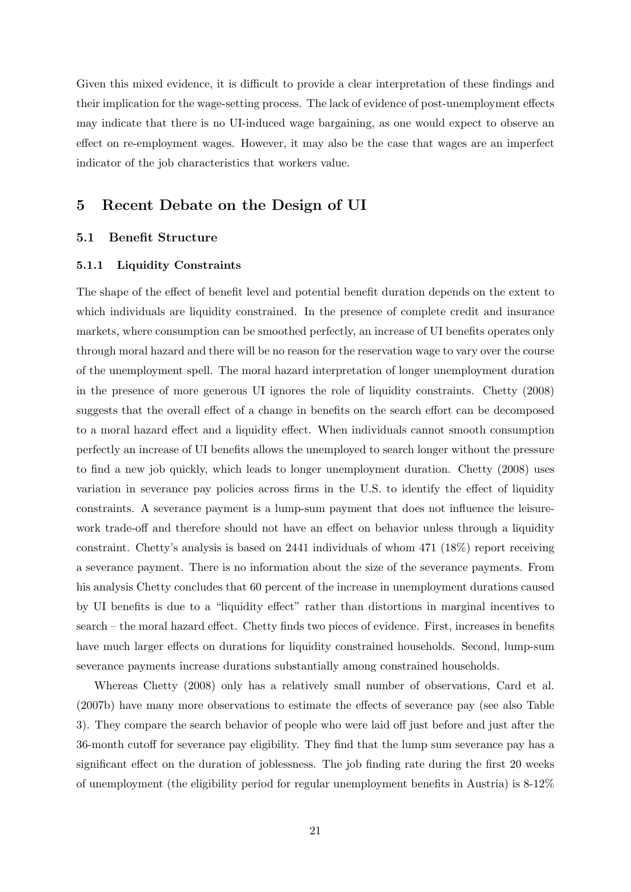Given this mixed evidence, it is difficult to provide a clear interpretation of these findings and their implication for the wage-setting process. The lack of evidence of post-unemployment effects may indicate that there is no UI-induced wage bargaining, as one would expect to observe an effect on re-employment wages. However, it may also be the case that wages are an imperfect indicator of the job characteristics that workers value.

# 5 Recent Debate on the Design of UI

### 5.1 Benefit Structure

#### 5.1.1 Liquidity Constraints

The shape of the effect of benefit level and potential benefit duration depends on the extent to which individuals are liquidity constrained. In the presence of complete credit and insurance markets, where consumption can be smoothed perfectly, an increase of UI benefits operates only through moral hazard and there will be no reason for the reservation wage to vary over the course of the unemployment spell. The moral hazard interpretation of longer unemployment duration in the presence of more generous UI ignores the role of liquidity constraints. Chetty (2008) suggests that the overall effect of a change in benefits on the search effort can be decomposed to a moral hazard effect and a liquidity effect. When individuals cannot smooth consumption perfectly an increase of UI benefits allows the unemployed to search longer without the pressure to find a new job quickly, which leads to longer unemployment duration. Chetty (2008) uses variation in severance pay policies across firms in the U.S. to identify the effect of liquidity constraints. A severance payment is a lump-sum payment that does not influence the leisurework trade-off and therefore should not have an effect on behavior unless through a liquidity constraint. Chetty's analysis is based on 2441 individuals of whom 471 (18%) report receiving a severance payment. There is no information about the size of the severance payments. From his analysis Chetty concludes that 60 percent of the increase in unemployment durations caused by UI benefits is due to a "liquidity effect" rather than distortions in marginal incentives to search – the moral hazard effect. Chetty finds two pieces of evidence. First, increases in benefits have much larger effects on durations for liquidity constrained households. Second, lump-sum severance payments increase durations substantially among constrained households.

Whereas Chetty (2008) only has a relatively small number of observations, Card et al. (2007b) have many more observations to estimate the effects of severance pay (see also Table 3). They compare the search behavior of people who were laid off just before and just after the 36-month cutoff for severance pay eligibility. They find that the lump sum severance pay has a significant effect on the duration of joblessness. The job finding rate during the first 20 weeks of unemployment (the eligibility period for regular unemployment benefits in Austria) is 8-12%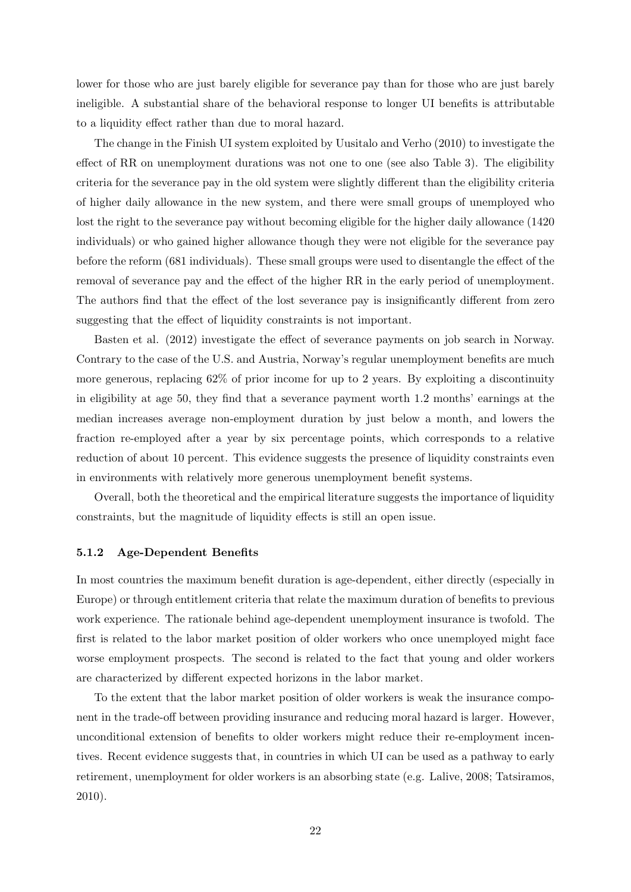lower for those who are just barely eligible for severance pay than for those who are just barely ineligible. A substantial share of the behavioral response to longer UI benefits is attributable to a liquidity effect rather than due to moral hazard.

The change in the Finish UI system exploited by Uusitalo and Verho (2010) to investigate the effect of RR on unemployment durations was not one to one (see also Table 3). The eligibility criteria for the severance pay in the old system were slightly different than the eligibility criteria of higher daily allowance in the new system, and there were small groups of unemployed who lost the right to the severance pay without becoming eligible for the higher daily allowance (1420 individuals) or who gained higher allowance though they were not eligible for the severance pay before the reform (681 individuals). These small groups were used to disentangle the effect of the removal of severance pay and the effect of the higher RR in the early period of unemployment. The authors find that the effect of the lost severance pay is insignificantly different from zero suggesting that the effect of liquidity constraints is not important.

Basten et al. (2012) investigate the effect of severance payments on job search in Norway. Contrary to the case of the U.S. and Austria, Norway's regular unemployment benefits are much more generous, replacing 62% of prior income for up to 2 years. By exploiting a discontinuity in eligibility at age 50, they find that a severance payment worth 1.2 months' earnings at the median increases average non-employment duration by just below a month, and lowers the fraction re-employed after a year by six percentage points, which corresponds to a relative reduction of about 10 percent. This evidence suggests the presence of liquidity constraints even in environments with relatively more generous unemployment benefit systems.

Overall, both the theoretical and the empirical literature suggests the importance of liquidity constraints, but the magnitude of liquidity effects is still an open issue.

### 5.1.2 Age-Dependent Benefits

In most countries the maximum benefit duration is age-dependent, either directly (especially in Europe) or through entitlement criteria that relate the maximum duration of benefits to previous work experience. The rationale behind age-dependent unemployment insurance is twofold. The first is related to the labor market position of older workers who once unemployed might face worse employment prospects. The second is related to the fact that young and older workers are characterized by different expected horizons in the labor market.

To the extent that the labor market position of older workers is weak the insurance component in the trade-off between providing insurance and reducing moral hazard is larger. However, unconditional extension of benefits to older workers might reduce their re-employment incentives. Recent evidence suggests that, in countries in which UI can be used as a pathway to early retirement, unemployment for older workers is an absorbing state (e.g. Lalive, 2008; Tatsiramos, 2010).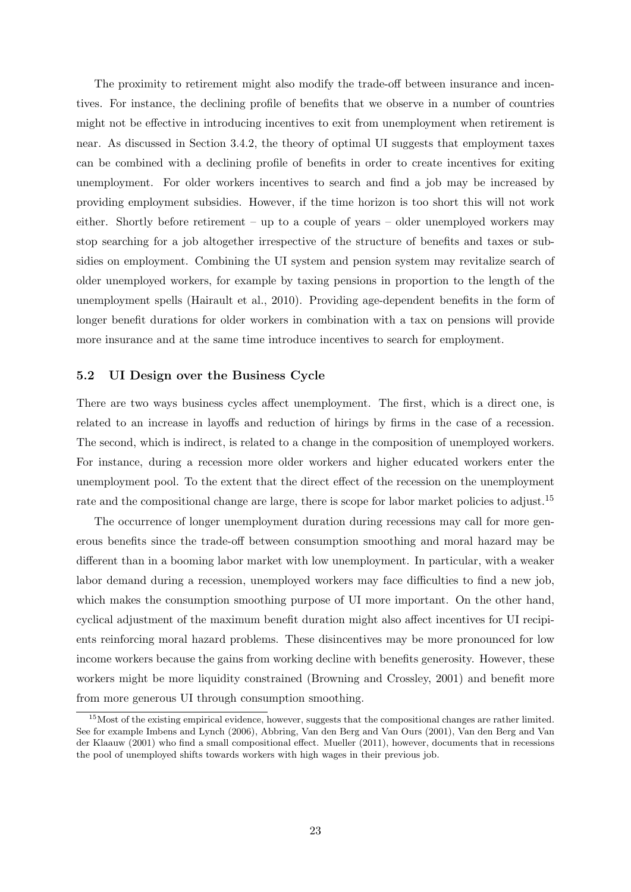The proximity to retirement might also modify the trade-off between insurance and incentives. For instance, the declining profile of benefits that we observe in a number of countries might not be effective in introducing incentives to exit from unemployment when retirement is near. As discussed in Section 3.4.2, the theory of optimal UI suggests that employment taxes can be combined with a declining profile of benefits in order to create incentives for exiting unemployment. For older workers incentives to search and find a job may be increased by providing employment subsidies. However, if the time horizon is too short this will not work either. Shortly before retirement – up to a couple of years – older unemployed workers may stop searching for a job altogether irrespective of the structure of benefits and taxes or subsidies on employment. Combining the UI system and pension system may revitalize search of older unemployed workers, for example by taxing pensions in proportion to the length of the unemployment spells (Hairault et al., 2010). Providing age-dependent benefits in the form of longer benefit durations for older workers in combination with a tax on pensions will provide more insurance and at the same time introduce incentives to search for employment.

### 5.2 UI Design over the Business Cycle

There are two ways business cycles affect unemployment. The first, which is a direct one, is related to an increase in layoffs and reduction of hirings by firms in the case of a recession. The second, which is indirect, is related to a change in the composition of unemployed workers. For instance, during a recession more older workers and higher educated workers enter the unemployment pool. To the extent that the direct effect of the recession on the unemployment rate and the compositional change are large, there is scope for labor market policies to adjust.<sup>15</sup>

The occurrence of longer unemployment duration during recessions may call for more generous benefits since the trade-off between consumption smoothing and moral hazard may be different than in a booming labor market with low unemployment. In particular, with a weaker labor demand during a recession, unemployed workers may face difficulties to find a new job, which makes the consumption smoothing purpose of UI more important. On the other hand, cyclical adjustment of the maximum benefit duration might also affect incentives for UI recipients reinforcing moral hazard problems. These disincentives may be more pronounced for low income workers because the gains from working decline with benefits generosity. However, these workers might be more liquidity constrained (Browning and Crossley, 2001) and benefit more from more generous UI through consumption smoothing.

 $15$ Most of the existing empirical evidence, however, suggests that the compositional changes are rather limited. See for example Imbens and Lynch (2006), Abbring, Van den Berg and Van Ours (2001), Van den Berg and Van der Klaauw (2001) who find a small compositional effect. Mueller (2011), however, documents that in recessions the pool of unemployed shifts towards workers with high wages in their previous job.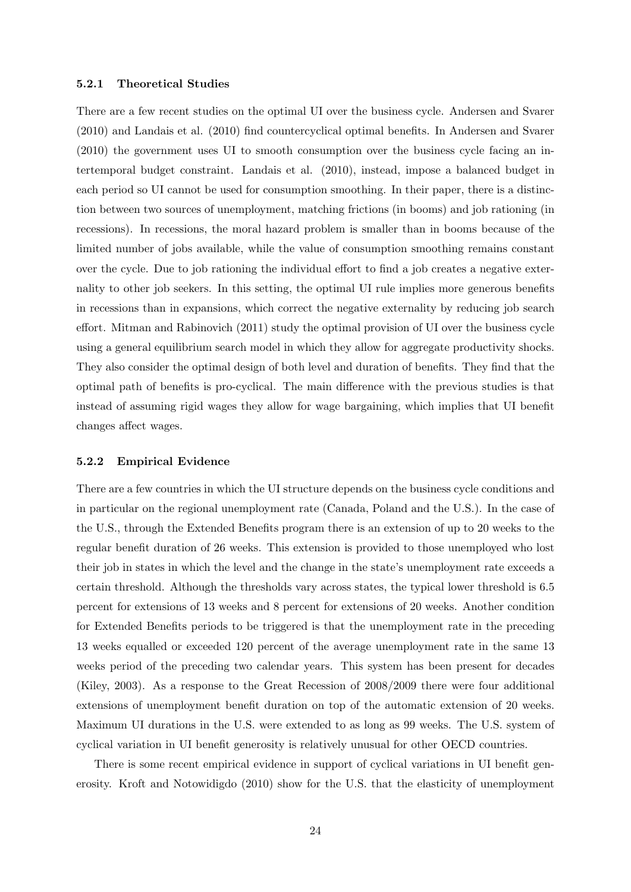#### 5.2.1 Theoretical Studies

There are a few recent studies on the optimal UI over the business cycle. Andersen and Svarer (2010) and Landais et al. (2010) find countercyclical optimal benefits. In Andersen and Svarer (2010) the government uses UI to smooth consumption over the business cycle facing an intertemporal budget constraint. Landais et al. (2010), instead, impose a balanced budget in each period so UI cannot be used for consumption smoothing. In their paper, there is a distinction between two sources of unemployment, matching frictions (in booms) and job rationing (in recessions). In recessions, the moral hazard problem is smaller than in booms because of the limited number of jobs available, while the value of consumption smoothing remains constant over the cycle. Due to job rationing the individual effort to find a job creates a negative externality to other job seekers. In this setting, the optimal UI rule implies more generous benefits in recessions than in expansions, which correct the negative externality by reducing job search effort. Mitman and Rabinovich (2011) study the optimal provision of UI over the business cycle using a general equilibrium search model in which they allow for aggregate productivity shocks. They also consider the optimal design of both level and duration of benefits. They find that the optimal path of benefits is pro-cyclical. The main difference with the previous studies is that instead of assuming rigid wages they allow for wage bargaining, which implies that UI benefit changes affect wages.

#### 5.2.2 Empirical Evidence

There are a few countries in which the UI structure depends on the business cycle conditions and in particular on the regional unemployment rate (Canada, Poland and the U.S.). In the case of the U.S., through the Extended Benefits program there is an extension of up to 20 weeks to the regular benefit duration of 26 weeks. This extension is provided to those unemployed who lost their job in states in which the level and the change in the state's unemployment rate exceeds a certain threshold. Although the thresholds vary across states, the typical lower threshold is 6.5 percent for extensions of 13 weeks and 8 percent for extensions of 20 weeks. Another condition for Extended Benefits periods to be triggered is that the unemployment rate in the preceding 13 weeks equalled or exceeded 120 percent of the average unemployment rate in the same 13 weeks period of the preceding two calendar years. This system has been present for decades (Kiley, 2003). As a response to the Great Recession of 2008/2009 there were four additional extensions of unemployment benefit duration on top of the automatic extension of 20 weeks. Maximum UI durations in the U.S. were extended to as long as 99 weeks. The U.S. system of cyclical variation in UI benefit generosity is relatively unusual for other OECD countries.

There is some recent empirical evidence in support of cyclical variations in UI benefit generosity. Kroft and Notowidigdo (2010) show for the U.S. that the elasticity of unemployment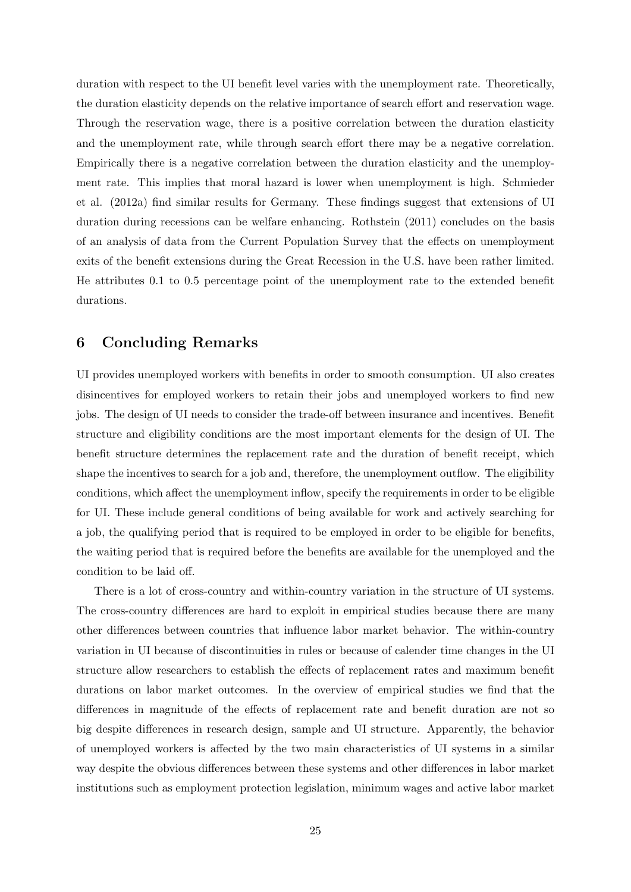duration with respect to the UI benefit level varies with the unemployment rate. Theoretically, the duration elasticity depends on the relative importance of search effort and reservation wage. Through the reservation wage, there is a positive correlation between the duration elasticity and the unemployment rate, while through search effort there may be a negative correlation. Empirically there is a negative correlation between the duration elasticity and the unemployment rate. This implies that moral hazard is lower when unemployment is high. Schmieder et al. (2012a) find similar results for Germany. These findings suggest that extensions of UI duration during recessions can be welfare enhancing. Rothstein (2011) concludes on the basis of an analysis of data from the Current Population Survey that the effects on unemployment exits of the benefit extensions during the Great Recession in the U.S. have been rather limited. He attributes 0.1 to 0.5 percentage point of the unemployment rate to the extended benefit durations.

# 6 Concluding Remarks

UI provides unemployed workers with benefits in order to smooth consumption. UI also creates disincentives for employed workers to retain their jobs and unemployed workers to find new jobs. The design of UI needs to consider the trade-off between insurance and incentives. Benefit structure and eligibility conditions are the most important elements for the design of UI. The benefit structure determines the replacement rate and the duration of benefit receipt, which shape the incentives to search for a job and, therefore, the unemployment outflow. The eligibility conditions, which affect the unemployment inflow, specify the requirements in order to be eligible for UI. These include general conditions of being available for work and actively searching for a job, the qualifying period that is required to be employed in order to be eligible for benefits, the waiting period that is required before the benefits are available for the unemployed and the condition to be laid off.

There is a lot of cross-country and within-country variation in the structure of UI systems. The cross-country differences are hard to exploit in empirical studies because there are many other differences between countries that influence labor market behavior. The within-country variation in UI because of discontinuities in rules or because of calender time changes in the UI structure allow researchers to establish the effects of replacement rates and maximum benefit durations on labor market outcomes. In the overview of empirical studies we find that the differences in magnitude of the effects of replacement rate and benefit duration are not so big despite differences in research design, sample and UI structure. Apparently, the behavior of unemployed workers is affected by the two main characteristics of UI systems in a similar way despite the obvious differences between these systems and other differences in labor market institutions such as employment protection legislation, minimum wages and active labor market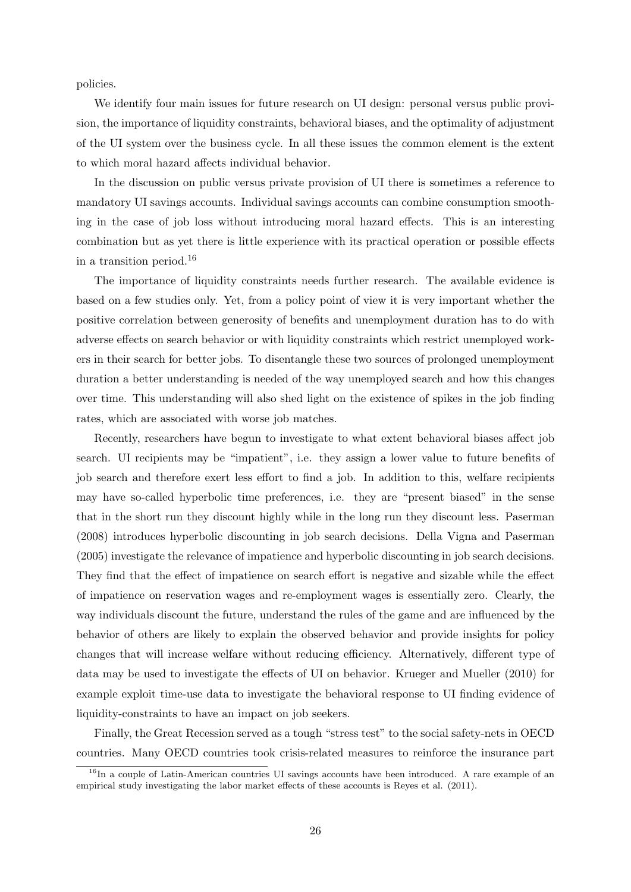policies.

We identify four main issues for future research on UI design: personal versus public provision, the importance of liquidity constraints, behavioral biases, and the optimality of adjustment of the UI system over the business cycle. In all these issues the common element is the extent to which moral hazard affects individual behavior.

In the discussion on public versus private provision of UI there is sometimes a reference to mandatory UI savings accounts. Individual savings accounts can combine consumption smoothing in the case of job loss without introducing moral hazard effects. This is an interesting combination but as yet there is little experience with its practical operation or possible effects in a transition period.<sup>16</sup>

The importance of liquidity constraints needs further research. The available evidence is based on a few studies only. Yet, from a policy point of view it is very important whether the positive correlation between generosity of benefits and unemployment duration has to do with adverse effects on search behavior or with liquidity constraints which restrict unemployed workers in their search for better jobs. To disentangle these two sources of prolonged unemployment duration a better understanding is needed of the way unemployed search and how this changes over time. This understanding will also shed light on the existence of spikes in the job finding rates, which are associated with worse job matches.

Recently, researchers have begun to investigate to what extent behavioral biases affect job search. UI recipients may be "impatient", i.e. they assign a lower value to future benefits of job search and therefore exert less effort to find a job. In addition to this, welfare recipients may have so-called hyperbolic time preferences, i.e. they are "present biased" in the sense that in the short run they discount highly while in the long run they discount less. Paserman (2008) introduces hyperbolic discounting in job search decisions. Della Vigna and Paserman (2005) investigate the relevance of impatience and hyperbolic discounting in job search decisions. They find that the effect of impatience on search effort is negative and sizable while the effect of impatience on reservation wages and re-employment wages is essentially zero. Clearly, the way individuals discount the future, understand the rules of the game and are influenced by the behavior of others are likely to explain the observed behavior and provide insights for policy changes that will increase welfare without reducing efficiency. Alternatively, different type of data may be used to investigate the effects of UI on behavior. Krueger and Mueller (2010) for example exploit time-use data to investigate the behavioral response to UI finding evidence of liquidity-constraints to have an impact on job seekers.

Finally, the Great Recession served as a tough "stress test" to the social safety-nets in OECD countries. Many OECD countries took crisis-related measures to reinforce the insurance part

<sup>&</sup>lt;sup>16</sup>In a couple of Latin-American countries UI savings accounts have been introduced. A rare example of an empirical study investigating the labor market effects of these accounts is Reyes et al. (2011).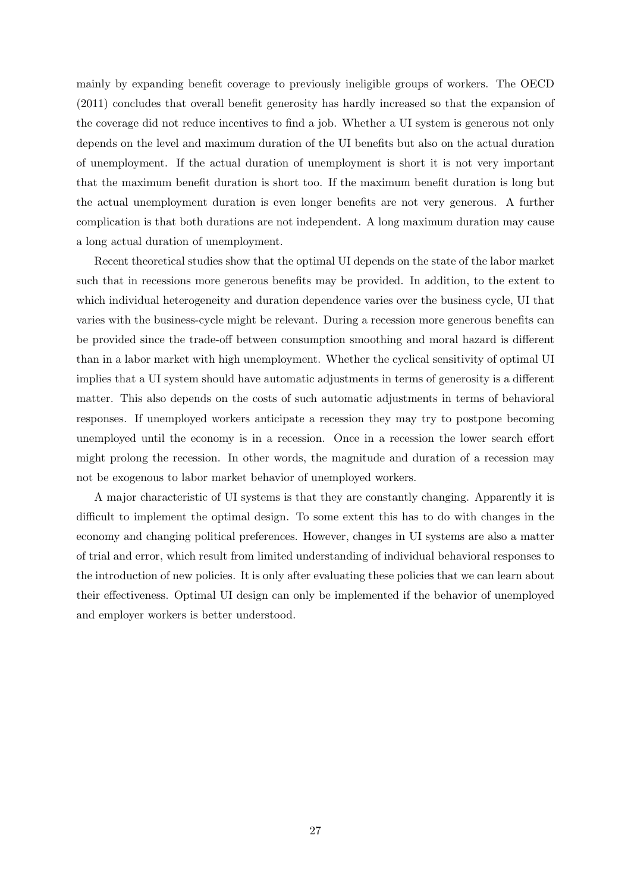mainly by expanding benefit coverage to previously ineligible groups of workers. The OECD (2011) concludes that overall benefit generosity has hardly increased so that the expansion of the coverage did not reduce incentives to find a job. Whether a UI system is generous not only depends on the level and maximum duration of the UI benefits but also on the actual duration of unemployment. If the actual duration of unemployment is short it is not very important that the maximum benefit duration is short too. If the maximum benefit duration is long but the actual unemployment duration is even longer benefits are not very generous. A further complication is that both durations are not independent. A long maximum duration may cause a long actual duration of unemployment.

Recent theoretical studies show that the optimal UI depends on the state of the labor market such that in recessions more generous benefits may be provided. In addition, to the extent to which individual heterogeneity and duration dependence varies over the business cycle, UI that varies with the business-cycle might be relevant. During a recession more generous benefits can be provided since the trade-off between consumption smoothing and moral hazard is different than in a labor market with high unemployment. Whether the cyclical sensitivity of optimal UI implies that a UI system should have automatic adjustments in terms of generosity is a different matter. This also depends on the costs of such automatic adjustments in terms of behavioral responses. If unemployed workers anticipate a recession they may try to postpone becoming unemployed until the economy is in a recession. Once in a recession the lower search effort might prolong the recession. In other words, the magnitude and duration of a recession may not be exogenous to labor market behavior of unemployed workers.

A major characteristic of UI systems is that they are constantly changing. Apparently it is difficult to implement the optimal design. To some extent this has to do with changes in the economy and changing political preferences. However, changes in UI systems are also a matter of trial and error, which result from limited understanding of individual behavioral responses to the introduction of new policies. It is only after evaluating these policies that we can learn about their effectiveness. Optimal UI design can only be implemented if the behavior of unemployed and employer workers is better understood.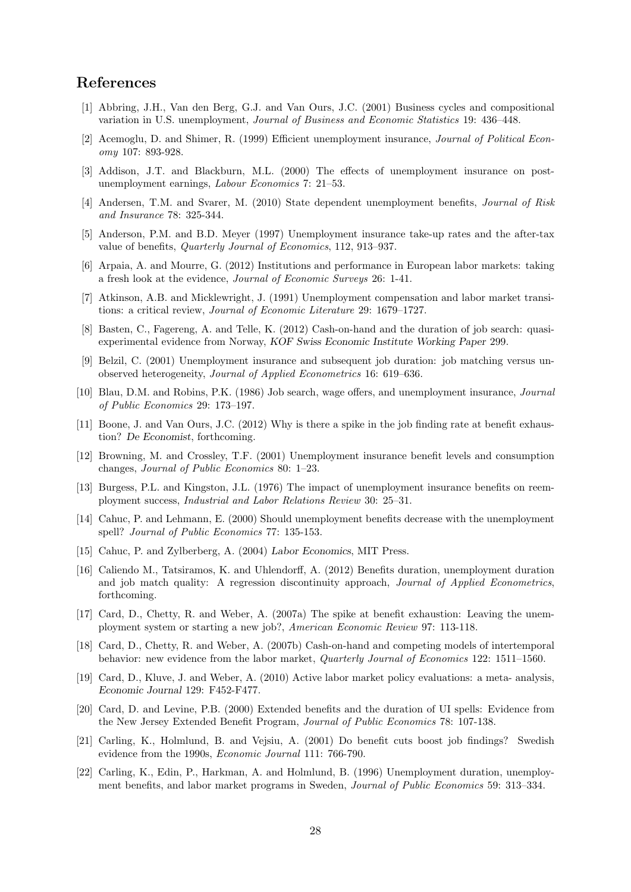# References

- [1] Abbring, J.H., Van den Berg, G.J. and Van Ours, J.C. (2001) Business cycles and compositional variation in U.S. unemployment, Journal of Business and Economic Statistics 19: 436–448.
- [2] Acemoglu, D. and Shimer, R. (1999) Efficient unemployment insurance, Journal of Political Economy 107: 893-928.
- [3] Addison, J.T. and Blackburn, M.L. (2000) The effects of unemployment insurance on postunemployment earnings, Labour Economics 7: 21–53.
- [4] Andersen, T.M. and Svarer, M. (2010) State dependent unemployment benefits, *Journal of Risk* and Insurance 78: 325-344.
- [5] Anderson, P.M. and B.D. Meyer (1997) Unemployment insurance take-up rates and the after-tax value of benefits, Quarterly Journal of Economics, 112, 913–937.
- [6] Arpaia, A. and Mourre, G. (2012) Institutions and performance in European labor markets: taking a fresh look at the evidence, Journal of Economic Surveys 26: 1-41.
- [7] Atkinson, A.B. and Micklewright, J. (1991) Unemployment compensation and labor market transitions: a critical review, Journal of Economic Literature 29: 1679–1727.
- [8] Basten, C., Fagereng, A. and Telle, K. (2012) Cash-on-hand and the duration of job search: quasiexperimental evidence from Norway, KOF Swiss Economic Institute Working Paper 299.
- [9] Belzil, C. (2001) Unemployment insurance and subsequent job duration: job matching versus unobserved heterogeneity, Journal of Applied Econometrics 16: 619–636.
- [10] Blau, D.M. and Robins, P.K. (1986) Job search, wage offers, and unemployment insurance, Journal of Public Economics 29: 173–197.
- [11] Boone, J. and Van Ours, J.C. (2012) Why is there a spike in the job finding rate at benefit exhaustion? De Economist, forthcoming.
- [12] Browning, M. and Crossley, T.F. (2001) Unemployment insurance benefit levels and consumption changes, Journal of Public Economics 80: 1–23.
- [13] Burgess, P.L. and Kingston, J.L. (1976) The impact of unemployment insurance benefits on reemployment success, Industrial and Labor Relations Review 30: 25–31.
- [14] Cahuc, P. and Lehmann, E. (2000) Should unemployment benefits decrease with the unemployment spell? Journal of Public Economics 77: 135-153.
- [15] Cahuc, P. and Zylberberg, A. (2004) Labor Economics, MIT Press.
- [16] Caliendo M., Tatsiramos, K. and Uhlendorff, A. (2012) Benefits duration, unemployment duration and job match quality: A regression discontinuity approach, *Journal of Applied Econometrics*, forthcoming.
- [17] Card, D., Chetty, R. and Weber, A. (2007a) The spike at benefit exhaustion: Leaving the unemployment system or starting a new job?, American Economic Review 97: 113-118.
- [18] Card, D., Chetty, R. and Weber, A. (2007b) Cash-on-hand and competing models of intertemporal behavior: new evidence from the labor market, *Quarterly Journal of Economics* 122: 1511–1560.
- [19] Card, D., Kluve, J. and Weber, A. (2010) Active labor market policy evaluations: a meta- analysis, Economic Journal 129: F452-F477.
- [20] Card, D. and Levine, P.B. (2000) Extended benefits and the duration of UI spells: Evidence from the New Jersey Extended Benefit Program, Journal of Public Economics 78: 107-138.
- [21] Carling, K., Holmlund, B. and Vejsiu, A. (2001) Do benefit cuts boost job findings? Swedish evidence from the 1990s, Economic Journal 111: 766-790.
- [22] Carling, K., Edin, P., Harkman, A. and Holmlund, B. (1996) Unemployment duration, unemployment benefits, and labor market programs in Sweden, Journal of Public Economics 59: 313–334.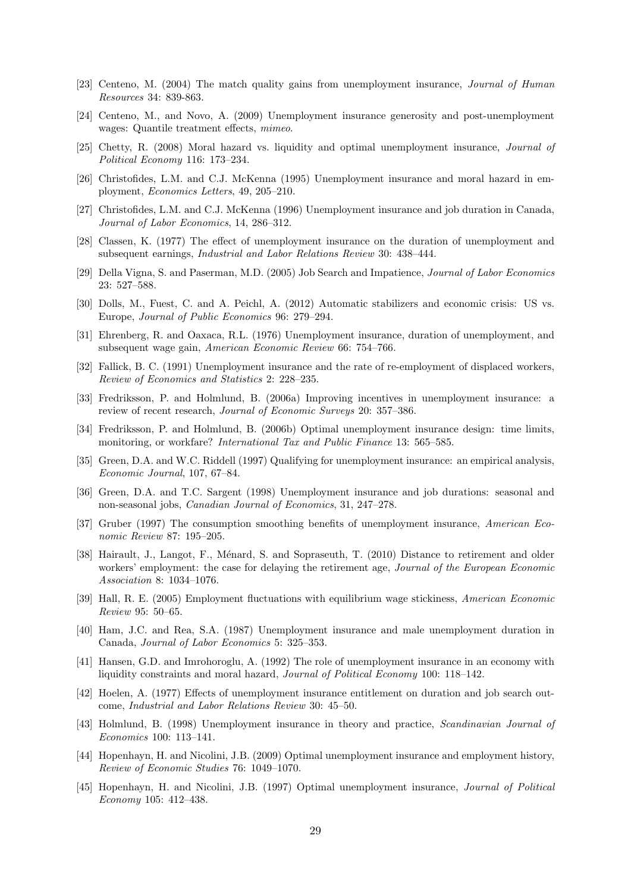- [23] Centeno, M. (2004) The match quality gains from unemployment insurance, Journal of Human Resources 34: 839-863.
- [24] Centeno, M., and Novo, A. (2009) Unemployment insurance generosity and post-unemployment wages: Quantile treatment effects, mimeo.
- [25] Chetty, R. (2008) Moral hazard vs. liquidity and optimal unemployment insurance, Journal of Political Economy 116: 173–234.
- [26] Christofides, L.M. and C.J. McKenna (1995) Unemployment insurance and moral hazard in employment, Economics Letters, 49, 205–210.
- [27] Christofides, L.M. and C.J. McKenna (1996) Unemployment insurance and job duration in Canada, Journal of Labor Economics, 14, 286–312.
- [28] Classen, K. (1977) The effect of unemployment insurance on the duration of unemployment and subsequent earnings, Industrial and Labor Relations Review 30: 438–444.
- [29] Della Vigna, S. and Paserman, M.D. (2005) Job Search and Impatience, Journal of Labor Economics 23: 527–588.
- [30] Dolls, M., Fuest, C. and A. Peichl, A. (2012) Automatic stabilizers and economic crisis: US vs. Europe, Journal of Public Economics 96: 279–294.
- [31] Ehrenberg, R. and Oaxaca, R.L. (1976) Unemployment insurance, duration of unemployment, and subsequent wage gain, American Economic Review 66: 754–766.
- [32] Fallick, B. C. (1991) Unemployment insurance and the rate of re-employment of displaced workers, Review of Economics and Statistics 2: 228–235.
- [33] Fredriksson, P. and Holmlund, B. (2006a) Improving incentives in unemployment insurance: a review of recent research, Journal of Economic Surveys 20: 357–386.
- [34] Fredriksson, P. and Holmlund, B. (2006b) Optimal unemployment insurance design: time limits, monitoring, or workfare? International Tax and Public Finance 13: 565–585.
- [35] Green, D.A. and W.C. Riddell (1997) Qualifying for unemployment insurance: an empirical analysis, Economic Journal, 107, 67–84.
- [36] Green, D.A. and T.C. Sargent (1998) Unemployment insurance and job durations: seasonal and non-seasonal jobs, Canadian Journal of Economics, 31, 247–278.
- [37] Gruber (1997) The consumption smoothing benefits of unemployment insurance, American Economic Review 87: 195–205.
- [38] Hairault, J., Langot, F., Ménard, S. and Sopraseuth, T. (2010) Distance to retirement and older workers' employment: the case for delaying the retirement age, Journal of the European Economic Association 8: 1034–1076.
- [39] Hall, R. E. (2005) Employment fluctuations with equilibrium wage stickiness, American Economic Review 95: 50–65.
- [40] Ham, J.C. and Rea, S.A. (1987) Unemployment insurance and male unemployment duration in Canada, Journal of Labor Economics 5: 325–353.
- [41] Hansen, G.D. and Imrohoroglu, A. (1992) The role of unemployment insurance in an economy with liquidity constraints and moral hazard, Journal of Political Economy 100: 118–142.
- [42] Hoelen, A. (1977) Effects of unemployment insurance entitlement on duration and job search outcome, Industrial and Labor Relations Review 30: 45–50.
- [43] Holmlund, B. (1998) Unemployment insurance in theory and practice, Scandinavian Journal of Economics 100: 113–141.
- [44] Hopenhayn, H. and Nicolini, J.B. (2009) Optimal unemployment insurance and employment history, Review of Economic Studies 76: 1049–1070.
- [45] Hopenhayn, H. and Nicolini, J.B. (1997) Optimal unemployment insurance, Journal of Political Economy 105: 412–438.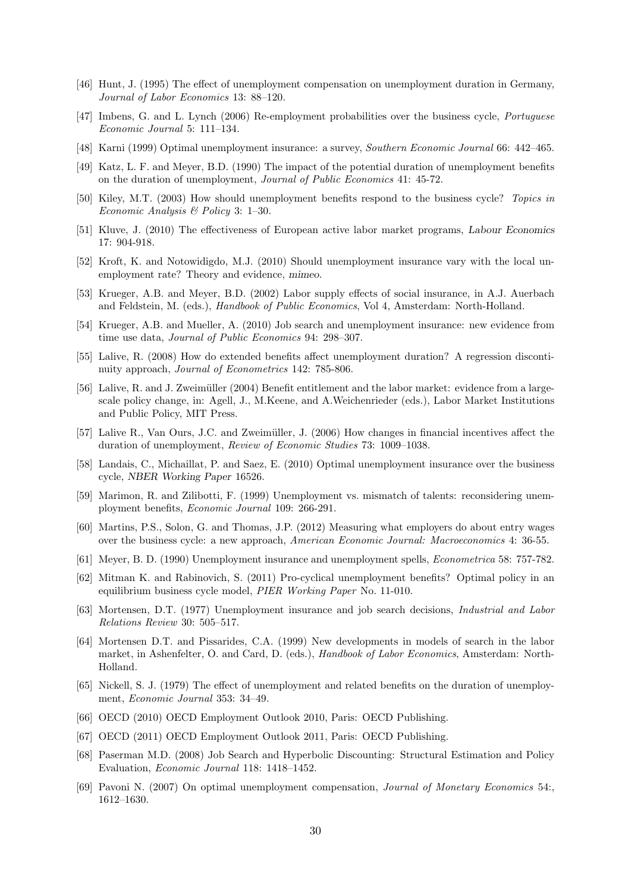- [46] Hunt, J. (1995) The effect of unemployment compensation on unemployment duration in Germany, Journal of Labor Economics 13: 88–120.
- [47] Imbens, G. and L. Lynch (2006) Re-employment probabilities over the business cycle, Portuguese Economic Journal 5: 111–134.
- [48] Karni (1999) Optimal unemployment insurance: a survey, Southern Economic Journal 66: 442–465.
- [49] Katz, L. F. and Meyer, B.D. (1990) The impact of the potential duration of unemployment benefits on the duration of unemployment, Journal of Public Economics 41: 45-72.
- [50] Kiley, M.T. (2003) How should unemployment benefits respond to the business cycle? Topics in Economic Analysis & Policy 3: 1–30.
- [51] Kluve, J. (2010) The effectiveness of European active labor market programs, Labour Economics 17: 904-918.
- [52] Kroft, K. and Notowidigdo, M.J. (2010) Should unemployment insurance vary with the local unemployment rate? Theory and evidence, mimeo.
- [53] Krueger, A.B. and Meyer, B.D. (2002) Labor supply effects of social insurance, in A.J. Auerbach and Feldstein, M. (eds.), Handbook of Public Economics, Vol 4, Amsterdam: North-Holland.
- [54] Krueger, A.B. and Mueller, A. (2010) Job search and unemployment insurance: new evidence from time use data, Journal of Public Economics 94: 298–307.
- [55] Lalive, R. (2008) How do extended benefits affect unemployment duration? A regression discontinuity approach, Journal of Econometrics 142: 785-806.
- [56] Lalive, R. and J. Zweimüller (2004) Benefit entitlement and the labor market: evidence from a largescale policy change, in: Agell, J., M.Keene, and A.Weichenrieder (eds.), Labor Market Institutions and Public Policy, MIT Press.
- [57] Lalive R., Van Ours, J.C. and Zweimüller, J. (2006) How changes in financial incentives affect the duration of unemployment, Review of Economic Studies 73: 1009–1038.
- [58] Landais, C., Michaillat, P. and Saez, E. (2010) Optimal unemployment insurance over the business cycle, NBER Working Paper 16526.
- [59] Marimon, R. and Zilibotti, F. (1999) Unemployment vs. mismatch of talents: reconsidering unemployment benefits, Economic Journal 109: 266-291.
- [60] Martins, P.S., Solon, G. and Thomas, J.P. (2012) Measuring what employers do about entry wages over the business cycle: a new approach, American Economic Journal: Macroeconomics 4: 36-55.
- [61] Meyer, B. D. (1990) Unemployment insurance and unemployment spells, Econometrica 58: 757-782.
- [62] Mitman K. and Rabinovich, S. (2011) Pro-cyclical unemployment benefits? Optimal policy in an equilibrium business cycle model, PIER Working Paper No. 11-010.
- [63] Mortensen, D.T. (1977) Unemployment insurance and job search decisions, Industrial and Labor Relations Review 30: 505–517.
- [64] Mortensen D.T. and Pissarides, C.A. (1999) New developments in models of search in the labor market, in Ashenfelter, O. and Card, D. (eds.), *Handbook of Labor Economics*, Amsterdam: North-Holland.
- [65] Nickell, S. J. (1979) The effect of unemployment and related benefits on the duration of unemployment, Economic Journal 353: 34–49.
- [66] OECD (2010) OECD Employment Outlook 2010, Paris: OECD Publishing.
- [67] OECD (2011) OECD Employment Outlook 2011, Paris: OECD Publishing.
- [68] Paserman M.D. (2008) Job Search and Hyperbolic Discounting: Structural Estimation and Policy Evaluation, Economic Journal 118: 1418–1452.
- [69] Pavoni N. (2007) On optimal unemployment compensation, Journal of Monetary Economics 54:, 1612–1630.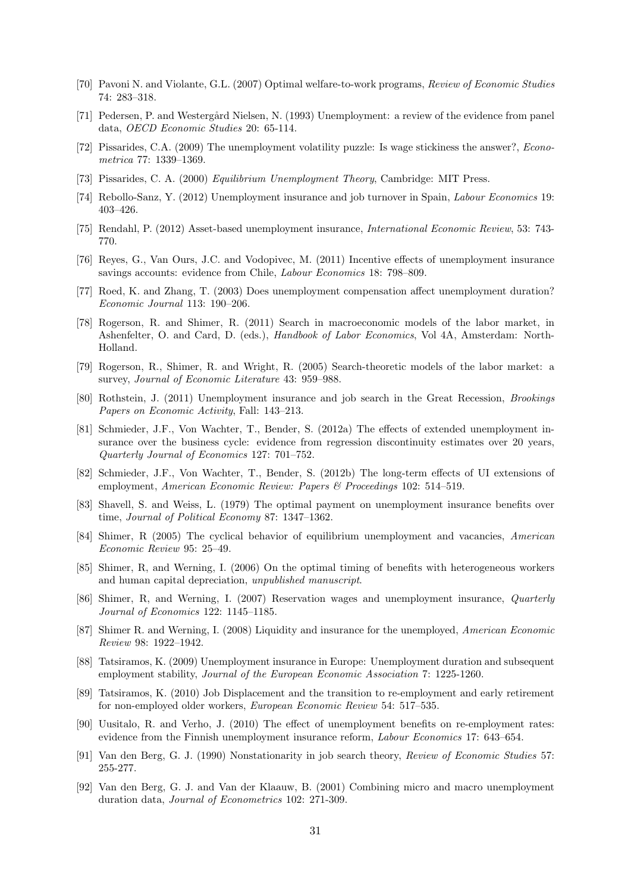- [70] Pavoni N. and Violante, G.L. (2007) Optimal welfare-to-work programs, Review of Economic Studies 74: 283–318.
- [71] Pedersen, P. and Westergård Nielsen, N. (1993) Unemployment: a review of the evidence from panel data, OECD Economic Studies 20: 65-114.
- [72] Pissarides, C.A. (2009) The unemployment volatility puzzle: Is wage stickiness the answer?, Econometrica 77: 1339–1369.
- [73] Pissarides, C. A. (2000) Equilibrium Unemployment Theory, Cambridge: MIT Press.
- [74] Rebollo-Sanz, Y. (2012) Unemployment insurance and job turnover in Spain, Labour Economics 19: 403–426.
- [75] Rendahl, P. (2012) Asset-based unemployment insurance, International Economic Review, 53: 743- 770.
- [76] Reyes, G., Van Ours, J.C. and Vodopivec, M. (2011) Incentive effects of unemployment insurance savings accounts: evidence from Chile, Labour Economics 18: 798–809.
- [77] Roed, K. and Zhang, T. (2003) Does unemployment compensation affect unemployment duration? Economic Journal 113: 190–206.
- [78] Rogerson, R. and Shimer, R. (2011) Search in macroeconomic models of the labor market, in Ashenfelter, O. and Card, D. (eds.), Handbook of Labor Economics, Vol 4A, Amsterdam: North-Holland.
- [79] Rogerson, R., Shimer, R. and Wright, R. (2005) Search-theoretic models of the labor market: a survey, Journal of Economic Literature 43: 959–988.
- [80] Rothstein, J. (2011) Unemployment insurance and job search in the Great Recession, Brookings Papers on Economic Activity, Fall: 143–213.
- [81] Schmieder, J.F., Von Wachter, T., Bender, S. (2012a) The effects of extended unemployment insurance over the business cycle: evidence from regression discontinuity estimates over 20 years, Quarterly Journal of Economics 127: 701–752.
- [82] Schmieder, J.F., Von Wachter, T., Bender, S. (2012b) The long-term effects of UI extensions of employment, American Economic Review: Papers & Proceedings 102: 514–519.
- [83] Shavell, S. and Weiss, L. (1979) The optimal payment on unemployment insurance benefits over time, Journal of Political Economy 87: 1347–1362.
- [84] Shimer, R (2005) The cyclical behavior of equilibrium unemployment and vacancies, American Economic Review 95: 25–49.
- [85] Shimer, R, and Werning, I. (2006) On the optimal timing of benefits with heterogeneous workers and human capital depreciation, unpublished manuscript.
- [86] Shimer, R, and Werning, I. (2007) Reservation wages and unemployment insurance, Quarterly Journal of Economics 122: 1145–1185.
- [87] Shimer R. and Werning, I. (2008) Liquidity and insurance for the unemployed, American Economic Review 98: 1922–1942.
- [88] Tatsiramos, K. (2009) Unemployment insurance in Europe: Unemployment duration and subsequent employment stability, Journal of the European Economic Association 7: 1225-1260.
- [89] Tatsiramos, K. (2010) Job Displacement and the transition to re-employment and early retirement for non-employed older workers, European Economic Review 54: 517–535.
- [90] Uusitalo, R. and Verho, J. (2010) The effect of unemployment benefits on re-employment rates: evidence from the Finnish unemployment insurance reform, Labour Economics 17: 643–654.
- [91] Van den Berg, G. J. (1990) Nonstationarity in job search theory, Review of Economic Studies 57: 255-277.
- [92] Van den Berg, G. J. and Van der Klaauw, B. (2001) Combining micro and macro unemployment duration data, Journal of Econometrics 102: 271-309.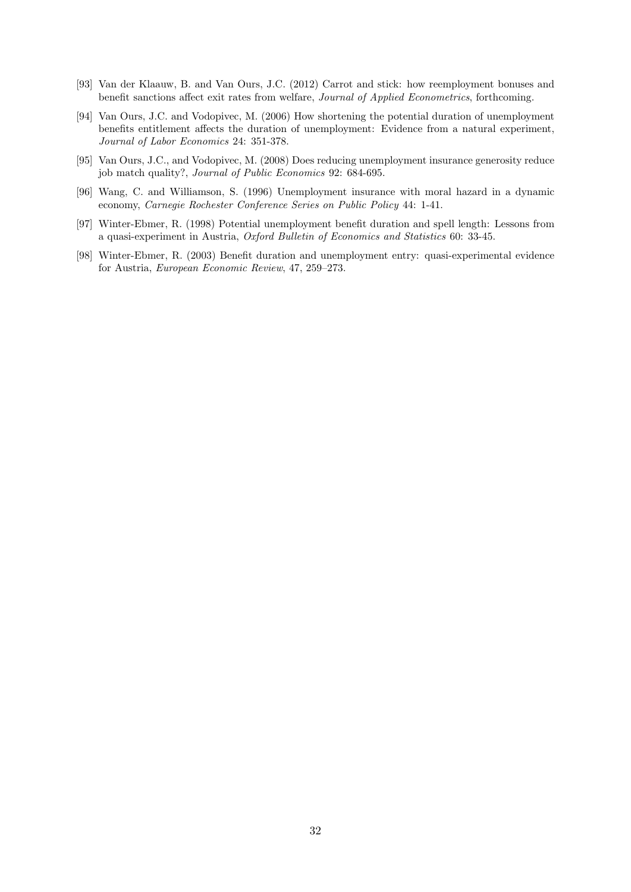- [93] Van der Klaauw, B. and Van Ours, J.C. (2012) Carrot and stick: how reemployment bonuses and benefit sanctions affect exit rates from welfare, Journal of Applied Econometrics, forthcoming.
- [94] Van Ours, J.C. and Vodopivec, M. (2006) How shortening the potential duration of unemployment benefits entitlement affects the duration of unemployment: Evidence from a natural experiment, Journal of Labor Economics 24: 351-378.
- [95] Van Ours, J.C., and Vodopivec, M. (2008) Does reducing unemployment insurance generosity reduce job match quality?, Journal of Public Economics 92: 684-695.
- [96] Wang, C. and Williamson, S. (1996) Unemployment insurance with moral hazard in a dynamic economy, Carnegie Rochester Conference Series on Public Policy 44: 1-41.
- [97] Winter-Ebmer, R. (1998) Potential unemployment benefit duration and spell length: Lessons from a quasi-experiment in Austria, Oxford Bulletin of Economics and Statistics 60: 33-45.
- [98] Winter-Ebmer, R. (2003) Benefit duration and unemployment entry: quasi-experimental evidence for Austria, European Economic Review, 47, 259–273.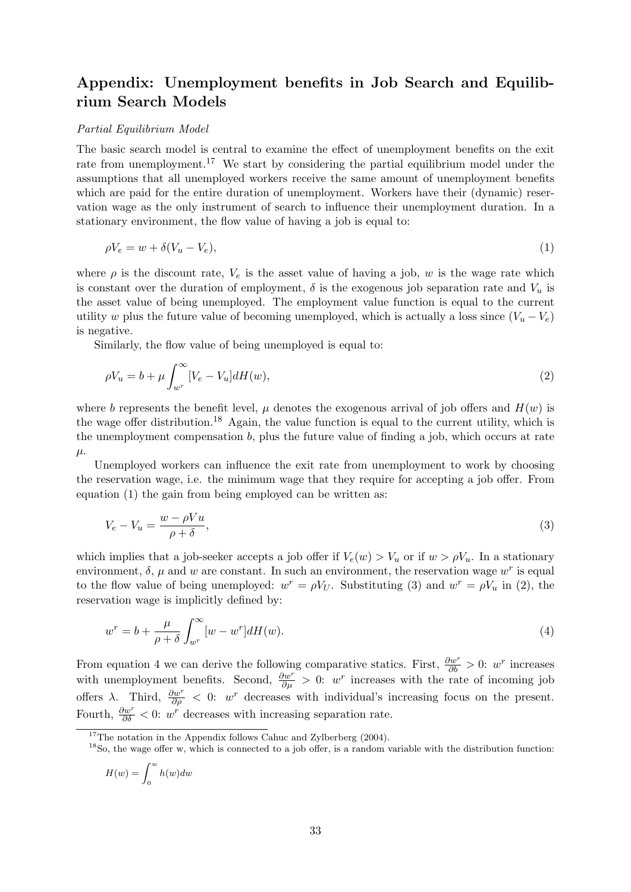# Appendix: Unemployment benefits in Job Search and Equilibrium Search Models

#### Partial Equilibrium Model

The basic search model is central to examine the effect of unemployment benefits on the exit rate from unemployment.<sup>17</sup> We start by considering the partial equilibrium model under the assumptions that all unemployed workers receive the same amount of unemployment benefits which are paid for the entire duration of unemployment. Workers have their (dynamic) reservation wage as the only instrument of search to influence their unemployment duration. In a stationary environment, the flow value of having a job is equal to:

$$
\rho V_e = w + \delta (V_u - V_e),\tag{1}
$$

where  $\rho$  is the discount rate,  $V_e$  is the asset value of having a job, w is the wage rate which is constant over the duration of employment,  $\delta$  is the exogenous job separation rate and  $V_u$  is the asset value of being unemployed. The employment value function is equal to the current utility w plus the future value of becoming unemployed, which is actually a loss since  $(V_u - V_e)$ is negative.

Similarly, the flow value of being unemployed is equal to:

$$
\rho V_u = b + \mu \int_{w^r}^{\infty} [V_e - V_u] dH(w), \qquad (2)
$$

where b represents the benefit level,  $\mu$  denotes the exogenous arrival of job offers and  $H(w)$  is the wage offer distribution.<sup>18</sup> Again, the value function is equal to the current utility, which is the unemployment compensation b, plus the future value of finding a job, which occurs at rate  $\mu$ .

Unemployed workers can influence the exit rate from unemployment to work by choosing the reservation wage, i.e. the minimum wage that they require for accepting a job offer. From equation (1) the gain from being employed can be written as:

$$
V_e - V_u = \frac{w - \rho V u}{\rho + \delta},\tag{3}
$$

which implies that a job-seeker accepts a job offer if  $V_e(w) > V_u$  or if  $w > \rho V_u$ . In a stationary environment,  $\delta$ ,  $\mu$  and  $w$  are constant. In such an environment, the reservation wage  $w^r$  is equal to the flow value of being unemployed:  $w^r = \rho V_U$ . Substituting (3) and  $w^r = \rho V_u$  in (2), the reservation wage is implicitly defined by:

$$
w^r = b + \frac{\mu}{\rho + \delta} \int_{w^r}^{\infty} [w - w^r] dH(w).
$$
\n(4)

From equation 4 we can derive the following comparative statics. First,  $\frac{\partial w^r}{\partial b} > 0$ : w<sup>r</sup> increases with unemployment benefits. Second,  $\frac{\partial w^r}{\partial \mu} > 0$ : w<sup>r</sup> increases with the rate of incoming job offers  $\lambda$ . Third,  $\frac{\partial w^r}{\partial \rho} < 0$ : w<sup>r</sup> decreases with individual's increasing focus on the present. Fourth,  $\frac{\partial w^r}{\partial \delta}$  < 0: w<sup>r</sup> decreases with increasing separation rate.

$$
H(w) = \int_0^w h(w) dw
$$

<sup>&</sup>lt;sup>17</sup>The notation in the Appendix follows Cahuc and Zylberberg  $(2004)$ .

 $18$ So, the wage offer w, which is connected to a job offer, is a random variable with the distribution function: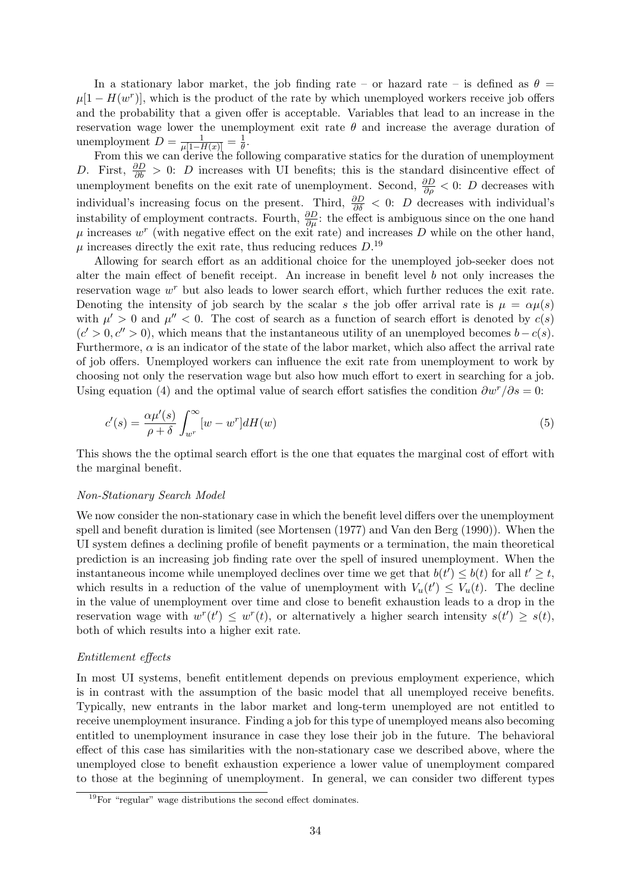In a stationary labor market, the job finding rate – or hazard rate – is defined as  $\theta =$  $\mu[1-H(w^r)]$ , which is the product of the rate by which unemployed workers receive job offers and the probability that a given offer is acceptable. Variables that lead to an increase in the reservation wage lower the unemployment exit rate  $\theta$  and increase the average duration of unemployment  $D = \frac{1}{\mu[1-H(x)]} = \frac{1}{\theta}$  $\frac{1}{\theta}$ .

From this we can derive the following comparative statics for the duration of unemployment D. First,  $\frac{\partial D}{\partial b} > 0$ : D increases with UI benefits; this is the standard disincentive effect of unemployment benefits on the exit rate of unemployment. Second,  $\frac{\partial D}{\partial \rho} < 0$ : D decreases with individual's increasing focus on the present. Third,  $\frac{\partial D}{\partial \delta}$  < 0: D decreases with individual's instability of employment contracts. Fourth,  $\frac{\partial D}{\partial \mu}$ : the effect is ambiguous since on the one hand  $\mu$  increases  $w^r$  (with negative effect on the exit rate) and increases D while on the other hand,  $\mu$  increases directly the exit rate, thus reducing reduces  $D^{19}$ .

Allowing for search effort as an additional choice for the unemployed job-seeker does not alter the main effect of benefit receipt. An increase in benefit level b not only increases the reservation wage  $w<sup>r</sup>$  but also leads to lower search effort, which further reduces the exit rate. Denoting the intensity of job search by the scalar s the job offer arrival rate is  $\mu = \alpha \mu(s)$ with  $\mu' > 0$  and  $\mu'' < 0$ . The cost of search as a function of search effort is denoted by  $c(s)$  $(c' > 0, c'' > 0)$ , which means that the instantaneous utility of an unemployed becomes  $b - c(s)$ . Furthermore,  $\alpha$  is an indicator of the state of the labor market, which also affect the arrival rate of job offers. Unemployed workers can influence the exit rate from unemployment to work by choosing not only the reservation wage but also how much effort to exert in searching for a job. Using equation (4) and the optimal value of search effort satisfies the condition  $\partial w^r/\partial s = 0$ :

$$
c'(s) = \frac{\alpha \mu'(s)}{\rho + \delta} \int_{w^r}^{\infty} [w - w^r] dH(w)
$$
\n(5)

This shows the the optimal search effort is the one that equates the marginal cost of effort with the marginal benefit.

#### Non-Stationary Search Model

We now consider the non-stationary case in which the benefit level differs over the unemployment spell and benefit duration is limited (see Mortensen (1977) and Van den Berg (1990)). When the UI system defines a declining profile of benefit payments or a termination, the main theoretical prediction is an increasing job finding rate over the spell of insured unemployment. When the instantaneous income while unemployed declines over time we get that  $b(t') \leq b(t)$  for all  $t' \geq t$ , which results in a reduction of the value of unemployment with  $V_u(t') \leq V_u(t)$ . The decline in the value of unemployment over time and close to benefit exhaustion leads to a drop in the reservation wage with  $w^{r}(t') \leq w^{r}(t)$ , or alternatively a higher search intensity  $s(t') \geq s(t)$ , both of which results into a higher exit rate.

#### Entitlement effects

In most UI systems, benefit entitlement depends on previous employment experience, which is in contrast with the assumption of the basic model that all unemployed receive benefits. Typically, new entrants in the labor market and long-term unemployed are not entitled to receive unemployment insurance. Finding a job for this type of unemployed means also becoming entitled to unemployment insurance in case they lose their job in the future. The behavioral effect of this case has similarities with the non-stationary case we described above, where the unemployed close to benefit exhaustion experience a lower value of unemployment compared to those at the beginning of unemployment. In general, we can consider two different types

<sup>19</sup>For "regular" wage distributions the second effect dominates.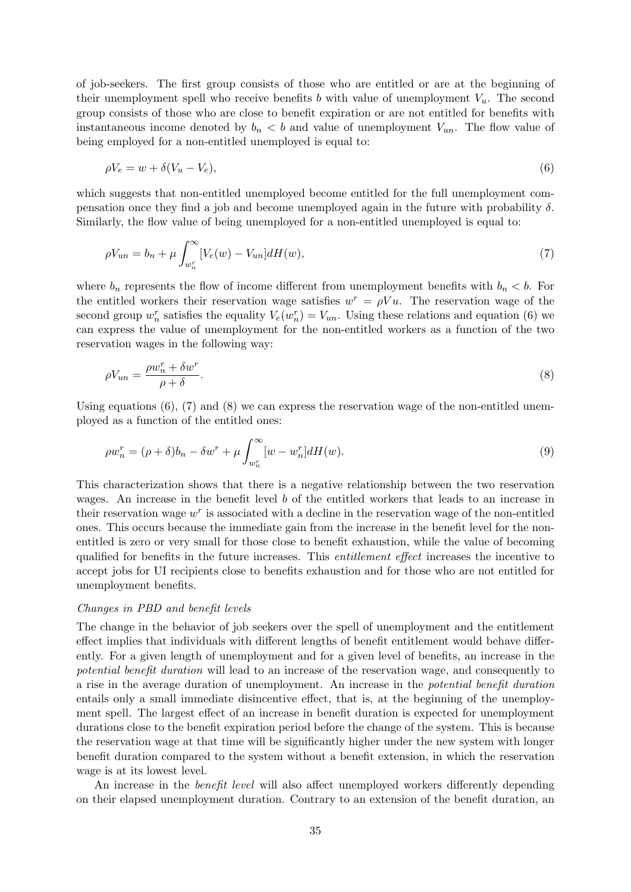of job-seekers. The first group consists of those who are entitled or are at the beginning of their unemployment spell who receive benefits b with value of unemployment  $V_u$ . The second group consists of those who are close to benefit expiration or are not entitled for benefits with instantaneous income denoted by  $b_n < b$  and value of unemployment  $V_{un}$ . The flow value of being employed for a non-entitled unemployed is equal to:

$$
\rho V_e = w + \delta (V_u - V_e),\tag{6}
$$

which suggests that non-entitled unemployed become entitled for the full unemployment compensation once they find a job and become unemployed again in the future with probability  $\delta$ . Similarly, the flow value of being unemployed for a non-entitled unemployed is equal to:

$$
\rho V_{un} = b_n + \mu \int_{w_n^r}^{\infty} [V_e(w) - V_{un}] dH(w), \qquad (7)
$$

where  $b_n$  represents the flow of income different from unemployment benefits with  $b_n < b$ . For the entitled workers their reservation wage satisfies  $w^r = \rho V u$ . The reservation wage of the second group  $w_n^r$  satisfies the equality  $V_e(w_n^r) = V_{un}$ . Using these relations and equation (6) we can express the value of unemployment for the non-entitled workers as a function of the two reservation wages in the following way:

$$
\rho V_{un} = \frac{\rho w_n^r + \delta w^r}{\rho + \delta}.\tag{8}
$$

Using equations  $(6)$ ,  $(7)$  and  $(8)$  we can express the reservation wage of the non-entitled unemployed as a function of the entitled ones:

$$
\rho w_n^r = (\rho + \delta)b_n - \delta w^r + \mu \int_{w_n^r}^{\infty} [w - w_n^r] dH(w).
$$
\n(9)

This characterization shows that there is a negative relationship between the two reservation wages. An increase in the benefit level b of the entitled workers that leads to an increase in their reservation wage  $w<sup>r</sup>$  is associated with a decline in the reservation wage of the non-entitled ones. This occurs because the immediate gain from the increase in the benefit level for the nonentitled is zero or very small for those close to benefit exhaustion, while the value of becoming qualified for benefits in the future increases. This *entitlement effect* increases the incentive to accept jobs for UI recipients close to benefits exhaustion and for those who are not entitled for unemployment benefits.

#### Changes in PBD and benefit levels

The change in the behavior of job seekers over the spell of unemployment and the entitlement effect implies that individuals with different lengths of benefit entitlement would behave differently. For a given length of unemployment and for a given level of benefits, an increase in the potential benefit duration will lead to an increase of the reservation wage, and consequently to a rise in the average duration of unemployment. An increase in the potential benefit duration entails only a small immediate disincentive effect, that is, at the beginning of the unemployment spell. The largest effect of an increase in benefit duration is expected for unemployment durations close to the benefit expiration period before the change of the system. This is because the reservation wage at that time will be significantly higher under the new system with longer benefit duration compared to the system without a benefit extension, in which the reservation wage is at its lowest level.

An increase in the *benefit level* will also affect unemployed workers differently depending on their elapsed unemployment duration. Contrary to an extension of the benefit duration, an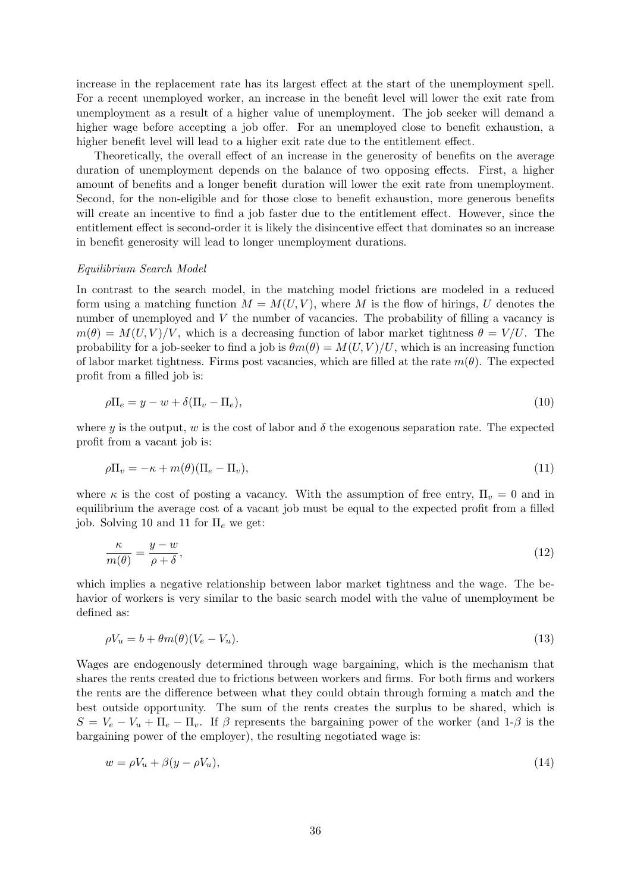increase in the replacement rate has its largest effect at the start of the unemployment spell. For a recent unemployed worker, an increase in the benefit level will lower the exit rate from unemployment as a result of a higher value of unemployment. The job seeker will demand a higher wage before accepting a job offer. For an unemployed close to benefit exhaustion, a higher benefit level will lead to a higher exit rate due to the entitlement effect.

Theoretically, the overall effect of an increase in the generosity of benefits on the average duration of unemployment depends on the balance of two opposing effects. First, a higher amount of benefits and a longer benefit duration will lower the exit rate from unemployment. Second, for the non-eligible and for those close to benefit exhaustion, more generous benefits will create an incentive to find a job faster due to the entitlement effect. However, since the entitlement effect is second-order it is likely the disincentive effect that dominates so an increase in benefit generosity will lead to longer unemployment durations.

#### Equilibrium Search Model

In contrast to the search model, in the matching model frictions are modeled in a reduced form using a matching function  $M = M(U, V)$ , where M is the flow of hirings, U denotes the number of unemployed and V the number of vacancies. The probability of filling a vacancy is  $m(\theta) = M(U, V)/V$ , which is a decreasing function of labor market tightness  $\theta = V/U$ . The probability for a job-seeker to find a job is  $\theta m(\theta) = M(U, V)/U$ , which is an increasing function of labor market tightness. Firms post vacancies, which are filled at the rate  $m(\theta)$ . The expected profit from a filled job is:

$$
\rho \Pi_e = y - w + \delta(\Pi_v - \Pi_e),\tag{10}
$$

where y is the output, w is the cost of labor and  $\delta$  the exogenous separation rate. The expected profit from a vacant job is:

$$
\rho \Pi_v = -\kappa + m(\theta) (\Pi_e - \Pi_v), \tag{11}
$$

where  $\kappa$  is the cost of posting a vacancy. With the assumption of free entry,  $\Pi_v = 0$  and in equilibrium the average cost of a vacant job must be equal to the expected profit from a filled job. Solving 10 and 11 for  $\Pi_e$  we get:

$$
\frac{\kappa}{m(\theta)} = \frac{y - w}{\rho + \delta},\tag{12}
$$

which implies a negative relationship between labor market tightness and the wage. The behavior of workers is very similar to the basic search model with the value of unemployment be defined as:

$$
\rho V_u = b + \theta m(\theta)(V_e - V_u). \tag{13}
$$

Wages are endogenously determined through wage bargaining, which is the mechanism that shares the rents created due to frictions between workers and firms. For both firms and workers the rents are the difference between what they could obtain through forming a match and the best outside opportunity. The sum of the rents creates the surplus to be shared, which is  $S = V_e - V_u + \Pi_e - \Pi_v$ . If  $\beta$  represents the bargaining power of the worker (and 1- $\beta$  is the bargaining power of the employer), the resulting negotiated wage is:

$$
w = \rho V_u + \beta (y - \rho V_u),\tag{14}
$$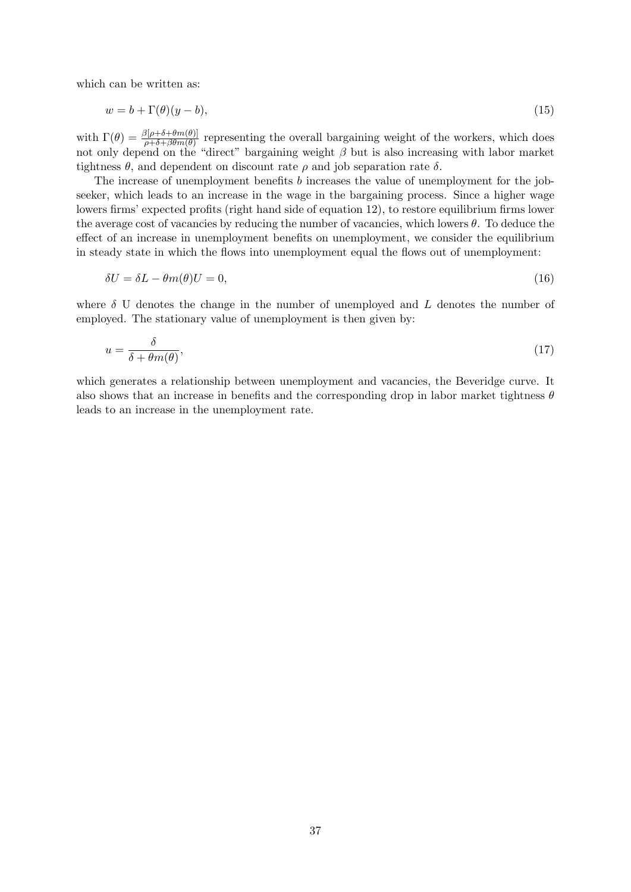which can be written as:

$$
w = b + \Gamma(\theta)(y - b),\tag{15}
$$

with  $\Gamma(\theta) = \frac{\beta[\rho + \delta + \theta m(\theta)]}{\rho + \delta + \beta \theta m(\theta)}$  representing the overall bargaining weight of the workers, which does not only depend on the "direct" bargaining weight  $\beta$  but is also increasing with labor market tightness  $\theta$ , and dependent on discount rate  $\rho$  and job separation rate  $\delta$ .

The increase of unemployment benefits b increases the value of unemployment for the jobseeker, which leads to an increase in the wage in the bargaining process. Since a higher wage lowers firms' expected profits (right hand side of equation 12), to restore equilibrium firms lower the average cost of vacancies by reducing the number of vacancies, which lowers  $\theta$ . To deduce the effect of an increase in unemployment benefits on unemployment, we consider the equilibrium in steady state in which the flows into unemployment equal the flows out of unemployment:

$$
\delta U = \delta L - \theta m(\theta) U = 0,\tag{16}
$$

where  $\delta$  U denotes the change in the number of unemployed and L denotes the number of employed. The stationary value of unemployment is then given by:

$$
u = \frac{\delta}{\delta + \theta m(\theta)},\tag{17}
$$

which generates a relationship between unemployment and vacancies, the Beveridge curve. It also shows that an increase in benefits and the corresponding drop in labor market tightness  $\theta$ leads to an increase in the unemployment rate.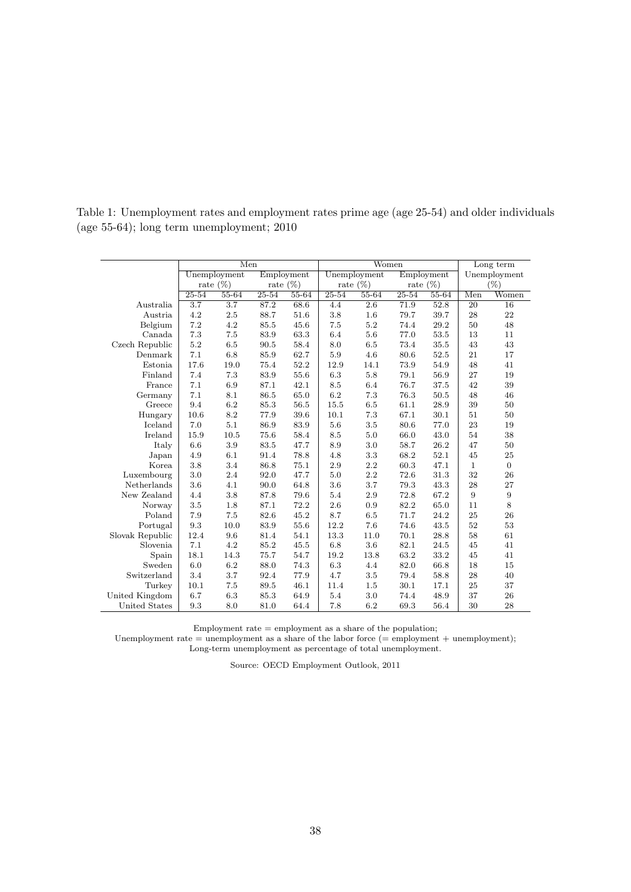Table 1: Unemployment rates and employment rates prime age (age 25-54) and older individuals (age 55-64); long term unemployment; 2010

|                 |                  | Men              |             |           |           | Women            |             |           |              | Long term      |
|-----------------|------------------|------------------|-------------|-----------|-----------|------------------|-------------|-----------|--------------|----------------|
|                 |                  | Unemployment     | Employment  |           |           | Unemployment     | Employment  |           |              | Unemployment   |
|                 |                  | rate $(\%)$      | rate $(\%)$ |           |           | rate $(\%)$      | rate $(\%)$ |           |              | (%)            |
|                 | $25 - 54$        | $55 - 64$        | $25 - 54$   | $55 - 64$ | $25 - 54$ | $55 - 64$        | $25 - 54$   | $55 - 64$ | Men          | Women          |
| Australia       | $\overline{3.7}$ | $\overline{3.7}$ | 87.2        | 68.6      | 4.4       | $\overline{2.6}$ | 71.9        | 52.8      | 20           | 16             |
| Austria         | 4.2              | 2.5              | 88.7        | 51.6      | 3.8       | 1.6              | 79.7        | 39.7      | 28           | 22             |
| Belgium         | 7.2              | 4.2              | 85.5        | 45.6      | 7.5       | 5.2              | 74.4        | 29.2      | 50           | 48             |
| Canada          | 7.3              | 7.5              | 83.9        | 63.3      | 6.4       | 5.6              | 77.0        | 53.5      | 13           | 11             |
| Czech Republic  | 5.2              | 6.5              | 90.5        | 58.4      | 8.0       | 6.5              | 73.4        | 35.5      | 43           | 43             |
| Denmark         | 7.1              | 6.8              | 85.9        | 62.7      | 5.9       | 4.6              | 80.6        | 52.5      | 21           | 17             |
| Estonia         | 17.6             | 19.0             | 75.4        | 52.2      | 12.9      | 14.1             | 73.9        | 54.9      | 48           | 41             |
| Finland         | 7.4              | 7.3              | 83.9        | 55.6      | 6.3       | 5.8              | 79.1        | 56.9      | 27           | 19             |
| France          | 7.1              | 6.9              | 87.1        | 42.1      | 8.5       | 6.4              | 76.7        | 37.5      | 42           | 39             |
| Germany         | 7.1              | 8.1              | 86.5        | 65.0      | 6.2       | 7.3              | 76.3        | 50.5      | 48           | 46             |
| Greece          | 9.4              | 6.2              | 85.3        | 56.5      | 15.5      | 6.5              | 61.1        | 28.9      | 39           | 50             |
| Hungary         | 10.6             | 8.2              | 77.9        | 39.6      | 10.1      | 7.3              | 67.1        | 30.1      | 51           | 50             |
| Iceland         | 7.0              | 5.1              | 86.9        | 83.9      | 5.6       | 3.5              | 80.6        | 77.0      | 23           | 19             |
| Ireland         | 15.9             | 10.5             | 75.6        | 58.4      | 8.5       | 5.0              | 66.0        | 43.0      | 54           | 38             |
| Italy           | 6.6              | 3.9              | 83.5        | 47.7      | 8.9       | 3.0              | 58.7        | 26.2      | 47           | 50             |
| Japan           | 4.9              | 6.1              | 91.4        | 78.8      | 4.8       | 3.3              | 68.2        | 52.1      | 45           | 25             |
| Korea           | 3.8              | 3.4              | 86.8        | 75.1      | 2.9       | 2.2              | 60.3        | 47.1      | $\mathbf{1}$ | $\overline{0}$ |
| Luxembourg      | 3.0              | 2.4              | 92.0        | 47.7      | 5.0       | 2.2              | 72.6        | 31.3      | 32           | 26             |
| Netherlands     | 3.6              | 4.1              | 90.0        | 64.8      | 3.6       | 3.7              | 79.3        | 43.3      | 28           | 27             |
| New Zealand     | 4.4              | 3.8              | 87.8        | 79.6      | 5.4       | 2.9              | 72.8        | 67.2      | 9            | 9              |
| Norway          | 3.5              | 1.8              | 87.1        | 72.2      | 2.6       | 0.9              | 82.2        | 65.0      | 11           | 8              |
| Poland          | 7.9              | 7.5              | 82.6        | 45.2      | 8.7       | 6.5              | 71.7        | 24.2      | 25           | 26             |
| Portugal        | 9.3              | 10.0             | 83.9        | 55.6      | 12.2      | 7.6              | 74.6        | 43.5      | 52           | 53             |
| Slovak Republic | 12.4             | 9.6              | 81.4        | 54.1      | 13.3      | 11.0             | 70.1        | 28.8      | 58           | 61             |
| Slovenia        | 7.1              | 4.2              | 85.2        | 45.5      | 6.8       | 3.6              | 82.1        | 24.5      | 45           | 41             |
| Spain           | 18.1             | 14.3             | 75.7        | 54.7      | 19.2      | 13.8             | 63.2        | 33.2      | 45           | 41             |
| Sweden          | 6.0              | 6.2              | 88.0        | 74.3      | 6.3       | 4.4              | 82.0        | 66.8      | 18           | 15             |
| Switzerland     | 3.4              | 3.7              | 92.4        | 77.9      | 4.7       | 3.5              | 79.4        | 58.8      | 28           | 40             |
| Turkey          | 10.1             | 7.5              | 89.5        | 46.1      | 11.4      | 1.5              | 30.1        | 17.1      | 25           | 37             |
| United Kingdom  | 6.7              | 6.3              | 85.3        | 64.9      | 5.4       | 3.0              | 74.4        | 48.9      | 37           | 26             |
| United States   | 9.3              | 8.0              | 81.0        | 64.4      | 7.8       | 6.2              | 69.3        | 56.4      | 30           | 28             |

Employment rate  $=$  employment as a share of the population;

Unemployment rate  $=$  unemployment as a share of the labor force  $(=$  employment  $+$  unemployment); Long-term unemployment as percentage of total unemployment.

Source: OECD Employment Outlook, 2011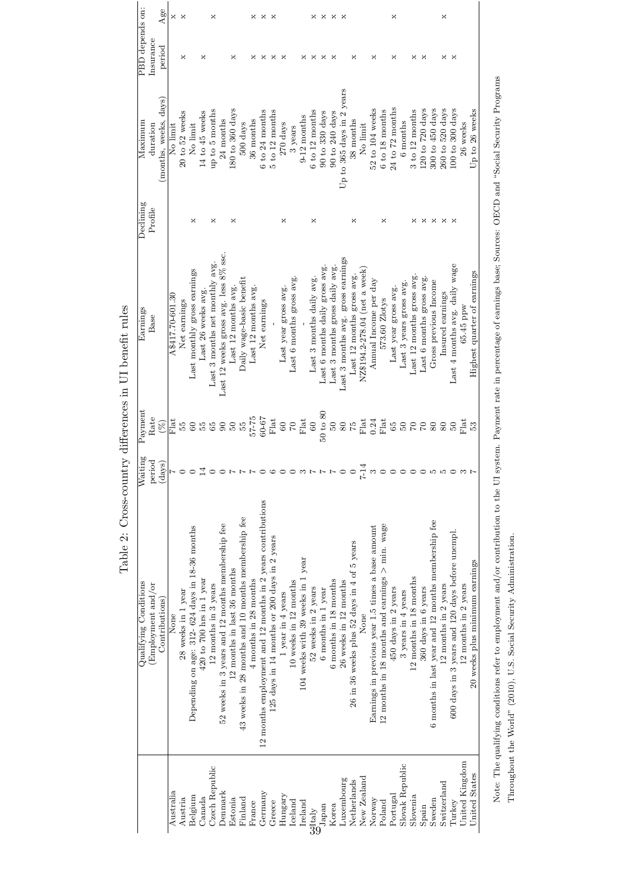|                       |                    | Age                   | ×                | $\times$           |                                                |                              | ×                              |                                                  |                             |                                                    | ×                         | ×                                                                 | ×                                            |                      |                           |                                   | ×                        | ×                              | ×                              | ×                                 |                                             |                              |                                                   |                                                   | ×                    |                         |                          |                           |                                                    | ×                    |                                                |                      |                                |
|-----------------------|--------------------|-----------------------|------------------|--------------------|------------------------------------------------|------------------------------|--------------------------------|--------------------------------------------------|-----------------------------|----------------------------------------------------|---------------------------|-------------------------------------------------------------------|----------------------------------------------|----------------------|---------------------------|-----------------------------------|--------------------------|--------------------------------|--------------------------------|-----------------------------------|---------------------------------------------|------------------------------|---------------------------------------------------|---------------------------------------------------|----------------------|-------------------------|--------------------------|---------------------------|----------------------------------------------------|----------------------|------------------------------------------------|----------------------|--------------------------------|
| PBD depends on:       | Insurance          | period                |                  | ×                  |                                                | ×                            |                                |                                                  | ×                           |                                                    | ×                         | ×                                                                 | ×                                            | ×                    |                           | ×                                 | ×                        | ×                              | ×                              |                                   | ×                                           |                              | ×                                                 |                                                   | ×                    |                         | ×                        | ×                         |                                                    | ×                    | ×                                              |                      |                                |
| Maximum               | duration           | (months, weeks, days) | No limit         | $20$ to 52 weeks   | No limit                                       | 14 to 45 weeks               | up to 5 months                 | 24 months                                        | $180$ to $360$ days         | 500 days                                           | 36 months                 | 6 to 24 months                                                    | $5$ to $12$ months                           | 270 days             | 3 years                   | 9-12 months                       | 6 to 12 months           | $90$ to $330$ days             | 90 to 240 days                 | Up to 365 days in 2 years         | 38 months                                   | No limit                     | 52 to 104 weeks                                   | $6\ {\rm to}\ 18$ months                          | $24$ to $72$ months  | 6 months                | 3 to 12 months           | 120 to $720 \text{ days}$ | 300 to 450 days                                    | 260 to 520 days      | $100$ to $300$ days                            | 26 weeks             | Up to 26 weeks                 |
| Declining             | Profile            |                       |                  |                    | ×                                              |                              | ×                              |                                                  | ×                           |                                                    |                           |                                                                   |                                              | ×                    |                           |                                   | ×                        |                                |                                |                                   | ×                                           |                              |                                                   | ×                                                 |                      |                         | ×                        | ×                         | ×                                                  | ×                    | ×                                              |                      |                                |
| Earnings              | Base               |                       | A\$417.70-601.30 | Net earnings       | Last monthly gross earnings                    | Last 26 weeks avg.           | Last 3 months net monthly avg. | Last 12 weeks gross avg. less 8% ssc             | Last 12 months avg.         | Daily wage-basic benefit                           | Last 12 months avg.       | Net earnings                                                      |                                              | Last year gross avg. | Last 6 months gross avg.  |                                   | Last 3 months daily avg. | Last 6 months daily gross avg. | Last 3 months gross daily avg. | Last 3 months avg. gross earnings | Last 12 months gross avg.                   | NZ\$194.2-278.04 (net a week | Annual Income per day                             | 573.60 Zlotys                                     | Last year gross avg. | Last 3 years gross avg. | Last 12 months gross avg | Last 6 months gross avg.  | Gross previous Income                              | Insured earnings     | Last 4 months avg. daily wage                  | 65.45 ppw            | Highest quarter of earnings    |
| Payment               | Rate               | $(\%)$                | ta<br>E          | Ъ5                 | 60                                             | Ъ5                           | $55^{\circ}$                   | $\pmb{\mathcal{S}}$                              | $\rm 50$                    | ìЗ                                                 | $57 - 75$                 | $60 - 67$                                                         | ${\rm Flat}$                                 | 60                   | $\mathcal{C}$             | Flat                              | $60\,$                   | $50$ to $80$                   | $\mathcal{S}$                  | 80                                | ΡP.                                         | Flat                         | 0.24                                              | $F$ lat                                           | 65                   | $50^{\circ}$            | $\mathbb{C}$             | 68                        |                                                    |                      | $\mathcal{S}$                                  | $\frac{1}{2}$        |                                |
| Waiting               | period             | ays)<br>ੁੰ            | $\sim$ -1        |                    | $\circ$                                        | $\overline{14}$              |                                |                                                  |                             |                                                    |                           |                                                                   |                                              |                      |                           |                                   |                          |                                |                                |                                   |                                             | $7 - 14$                     | $\infty$                                          |                                                   |                      |                         |                          |                           |                                                    |                      |                                                |                      |                                |
| Qualifying Conditions | (Employment and/or | Contributions)        | None             | 28 weeks in 1 year | Depending on age: 312-624 days in 18-36 months | $420$ to $700$ hrs in 1 year | 12 months in 3 years           | 52 weeks in 3 years and 12 months membership fee | 12 months in last 36 months | 43 weeks in 28 months and 10 months membership fee | $4$ months in $28$ months | $12$ months employment and $12$ months in $2$ years contributions | 125 days in 14 months or 200 days in 2 years | 1 year in 4 years    | $10$ weeks in $12$ months | 104 weeks with 39 weeks in 1 year | 52 weeks in 2 years      | 6 months in 1 year             | 6 months in 18 months          | 26 weeks in 12 months             | 26 in 36 weeks plus 52 days in 4 of 5 years | None                         | Earnings in previous year 1.5 times a base amount | 12 months in 18 months and earnings $>$ min. wage | 450 days in 2 years  | 3 years in 4 years      | 12 months in 18 months   | 360 days in 6 years       | 6 months in last year and 12 months membership fee | 12 months in 2 years | 600 days in 3 years and 120 days before unempl | 12 months in 2 years | 20 weeks plus minimum earnings |
|                       |                    |                       | Australia        | Austria            | Belgium                                        | Canada                       | Czech Republic                 | Denmark                                          | Estonia                     | Finland                                            | France                    | Germany                                                           | Greece                                       | Hungary              | Iceland                   | Ireland                           |                          | $\frac{30}{39}$ apan           | Korea                          | Luxembourg                        | Netherlands                                 | New Zealand                  | Norway                                            | Poland                                            | Portugal             | Slovak Republic         | Slovenia                 | Spain                     | Sweden                                             | Switzerland          | Turkey                                         | United Kingdom       | United States                  |

Table 2: Cross-country differences in UI benefit rules Table 2: Cross-country differences in UI benefit rules Note: The qualifying conditions refer to employment and/or contribution to the UI system. Payment rate in percentage of earnings base; Sources: OECD and "Social Security Programs Note: The qualifying conditions refer to employment and/or contribution to the UI system. Payment rate in percentage of earnings base; Sources: OECD and "Social Security Programs Throughout the World" (2010), U.S. Social Security Administration. Throughout the World" (2010), U.S. Social Security Administration.